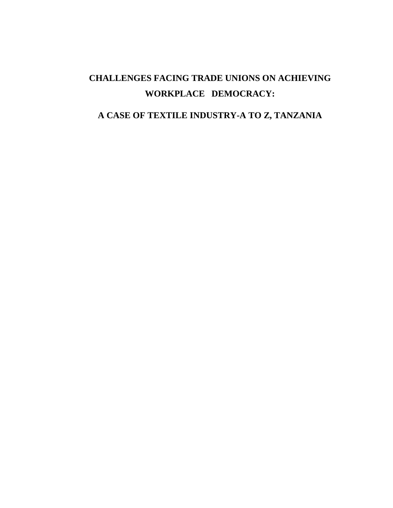# **CHALLENGES FACING TRADE UNIONS ON ACHIEVING WORKPLACE DEMOCRACY:**

# **A CASE OF TEXTILE INDUSTRY-A TO Z, TANZANIA**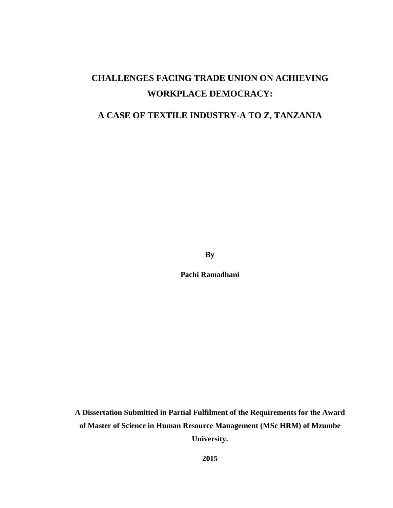# **CHALLENGES FACING TRADE UNION ON ACHIEVING WORKPLACE DEMOCRACY:**

# **A CASE OF TEXTILE INDUSTRY-A TO Z, TANZANIA**

**By**

**Pachi Ramadhani**

**A Dissertation Submitted in Partial Fulfilment of the Requirements for the Award of Master of Science in Human Resource Management (MSc HRM) of Mzumbe University.**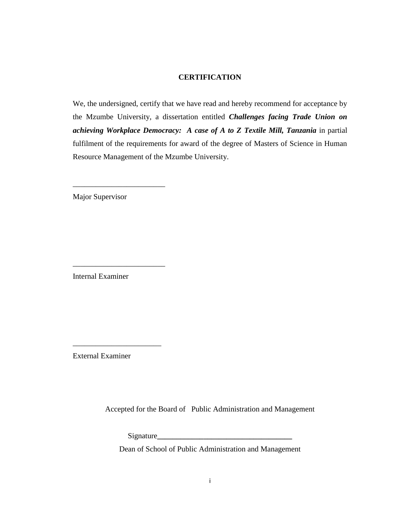# **CERTIFICATION**

<span id="page-2-0"></span>We, the undersigned, certify that we have read and hereby recommend for acceptance by the Mzumbe University, a dissertation entitled *Challenges facing Trade Union on achieving Workplace Democracy: A case of A to Z Textile Mill, Tanzania* in partial fulfilment of the requirements for award of the degree of Masters of Science in Human Resource Management of the Mzumbe University.

Major Supervisor

\_\_\_\_\_\_\_\_\_\_\_\_\_\_\_\_\_\_\_\_\_\_\_\_

\_\_\_\_\_\_\_\_\_\_\_\_\_\_\_\_\_\_\_\_\_\_\_\_

Internal Examiner

External Examiner

\_\_\_\_\_\_\_\_\_\_\_\_\_\_\_\_\_\_\_\_\_\_\_

Accepted for the Board of Public Administration and Management

Signature**\_\_\_\_\_\_\_\_\_\_\_\_\_\_\_\_\_\_\_\_\_\_\_\_\_\_\_\_\_\_\_\_\_\_\_**

Dean of School of Public Administration and Management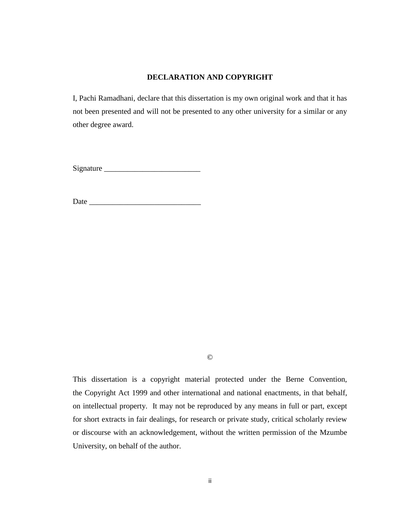# **DECLARATION AND COPYRIGHT**

<span id="page-3-0"></span>I, Pachi Ramadhani, declare that this dissertation is my own original work and that it has not been presented and will not be presented to any other university for a similar or any other degree award.

Signature \_\_\_\_\_\_\_\_\_\_\_\_\_\_\_\_\_\_\_\_\_\_\_\_\_

Date  $\Box$ 

©

This dissertation is a copyright material protected under the Berne Convention, the Copyright Act 1999 and other international and national enactments, in that behalf, on intellectual property. It may not be reproduced by any means in full or part, except for short extracts in fair dealings, for research or private study, critical scholarly review or discourse with an acknowledgement, without the written permission of the Mzumbe University, on behalf of the author.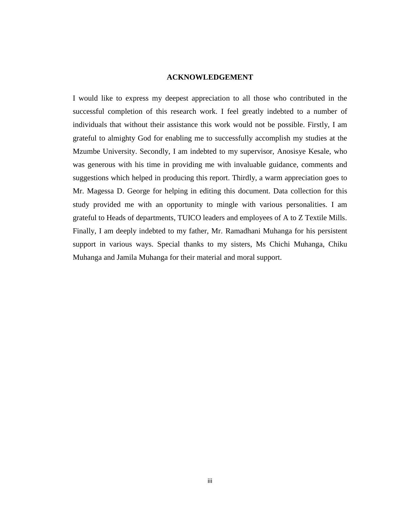# **ACKNOWLEDGEMENT**

<span id="page-4-0"></span>I would like to express my deepest appreciation to all those who contributed in the successful completion of this research work. I feel greatly indebted to a number of individuals that without their assistance this work would not be possible. Firstly, I am grateful to almighty God for enabling me to successfully accomplish my studies at the Mzumbe University. Secondly, I am indebted to my supervisor, Anosisye Kesale, who was generous with his time in providing me with invaluable guidance, comments and suggestions which helped in producing this report. Thirdly, a warm appreciation goes to Mr. Magessa D. George for helping in editing this document. Data collection for this study provided me with an opportunity to mingle with various personalities. I am grateful to Heads of departments, TUICO leaders and employees of A to Z Textile Mills. Finally, I am deeply indebted to my father, Mr. Ramadhani Muhanga for his persistent support in various ways. Special thanks to my sisters, Ms Chichi Muhanga, Chiku Muhanga and Jamila Muhanga for their material and moral support.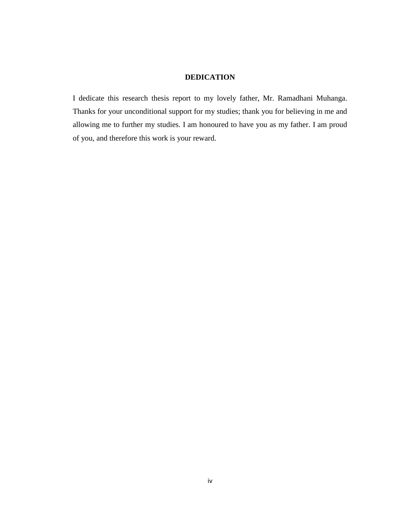# **DEDICATION**

<span id="page-5-0"></span>I dedicate this research thesis report to my lovely father, Mr. Ramadhani Muhanga. Thanks for your unconditional support for my studies; thank you for believing in me and allowing me to further my studies. I am honoured to have you as my father. I am proud of you, and therefore this work is your reward.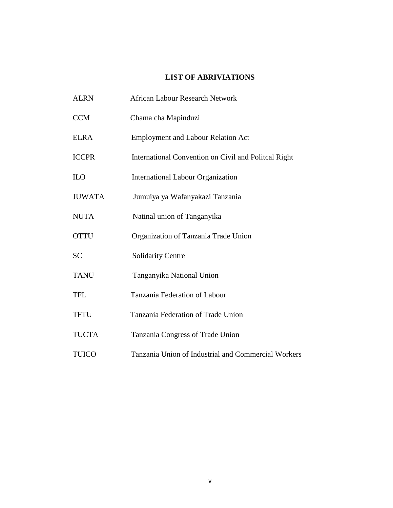# **LIST OF ABRIVIATIONS**

<span id="page-6-0"></span>

| <b>ALRN</b>   | <b>African Labour Research Network</b>               |
|---------------|------------------------------------------------------|
| <b>CCM</b>    | Chama cha Mapinduzi                                  |
| <b>ELRA</b>   | <b>Employment and Labour Relation Act</b>            |
| <b>ICCPR</b>  | International Convention on Civil and Politcal Right |
| ILO           | <b>International Labour Organization</b>             |
| <b>JUWATA</b> | Jumuiya ya Wafanyakazi Tanzania                      |
| <b>NUTA</b>   | Natinal union of Tanganyika                          |
| <b>OTTU</b>   | Organization of Tanzania Trade Union                 |
| <b>SC</b>     | Solidarity Centre                                    |
| <b>TANU</b>   | Tanganyika National Union                            |
| <b>TFL</b>    | Tanzania Federation of Labour                        |
| <b>TFTU</b>   | Tanzania Federation of Trade Union                   |
| <b>TUCTA</b>  | Tanzania Congress of Trade Union                     |
| <b>TUICO</b>  | Tanzania Union of Industrial and Commercial Workers  |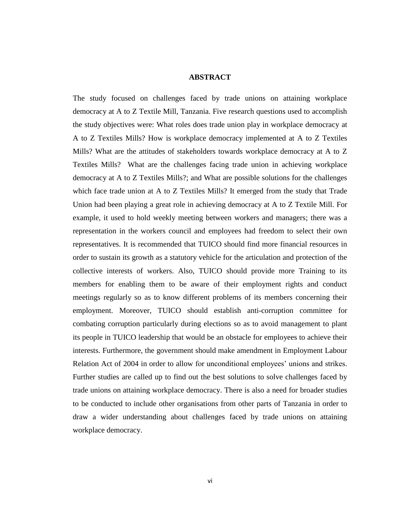# **ABSTRACT**

<span id="page-7-0"></span>The study focused on challenges faced by trade unions on attaining workplace democracy at A to Z Textile Mill, Tanzania. Five research questions used to accomplish the study objectives were: What roles does trade union play in workplace democracy at A to Z Textiles Mills? How is workplace democracy implemented at A to Z Textiles Mills? What are the attitudes of stakeholders towards workplace democracy at A to Z Textiles Mills? What are the challenges facing trade union in achieving workplace democracy at A to Z Textiles Mills?; and What are possible solutions for the challenges which face trade union at A to Z Textiles Mills? It emerged from the study that Trade Union had been playing a great role in achieving democracy at A to Z Textile Mill. For example, it used to hold weekly meeting between workers and managers; there was a representation in the workers council and employees had freedom to select their own representatives. It is recommended that TUICO should find more financial resources in order to sustain its growth as a statutory vehicle for the articulation and protection of the collective interests of workers. Also, TUICO should provide more Training to its members for enabling them to be aware of their employment rights and conduct meetings regularly so as to know different problems of its members concerning their employment. Moreover, TUICO should establish anti-corruption committee for combating corruption particularly during elections so as to avoid management to plant its people in TUICO leadership that would be an obstacle for employees to achieve their interests. Furthermore, the government should make amendment in Employment Labour Relation Act of 2004 in order to allow for unconditional employees' unions and strikes. Further studies are called up to find out the best solutions to solve challenges faced by trade unions on attaining workplace democracy. There is also a need for broader studies to be conducted to include other organisations from other parts of Tanzania in order to draw a wider understanding about challenges faced by trade unions on attaining workplace democracy.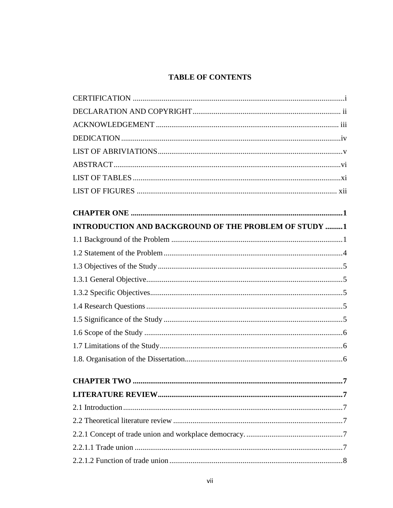# **TABLE OF CONTENTS**

| INTRODUCTION AND BACKGROUND OF THE PROBLEM OF STUDY 1 |   |
|-------------------------------------------------------|---|
|                                                       |   |
|                                                       |   |
|                                                       |   |
|                                                       |   |
|                                                       |   |
|                                                       |   |
|                                                       |   |
|                                                       |   |
|                                                       |   |
|                                                       |   |
| <b>CHAPTER TWO </b><br>                               | 7 |
|                                                       |   |
|                                                       |   |
|                                                       |   |
|                                                       |   |
|                                                       |   |
|                                                       |   |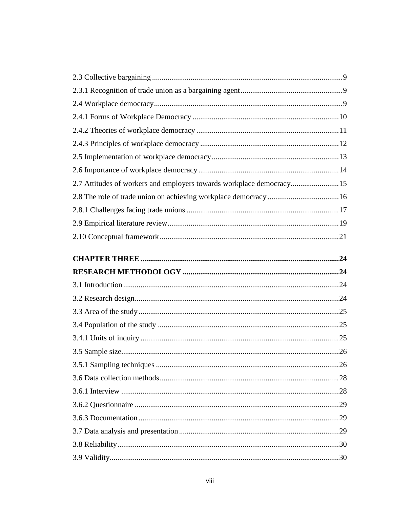| 2.7 Attitudes of workers and employers towards workplace democracy15 |  |
|----------------------------------------------------------------------|--|
|                                                                      |  |
|                                                                      |  |
|                                                                      |  |
|                                                                      |  |
|                                                                      |  |
|                                                                      |  |
|                                                                      |  |
|                                                                      |  |
|                                                                      |  |
|                                                                      |  |
|                                                                      |  |
|                                                                      |  |
|                                                                      |  |
|                                                                      |  |
|                                                                      |  |
|                                                                      |  |
|                                                                      |  |
|                                                                      |  |
|                                                                      |  |
|                                                                      |  |
|                                                                      |  |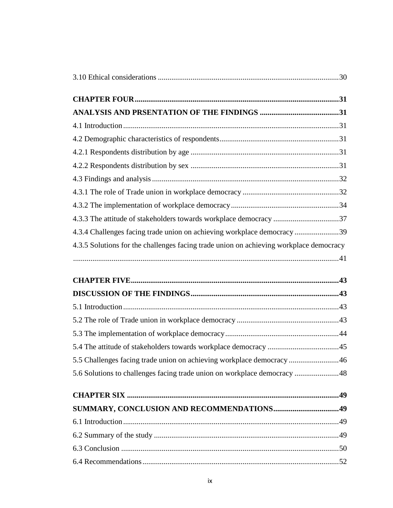| 4.3.3 The attitude of stakeholders towards workplace democracy 37<br>4.3.4 Challenges facing trade union on achieving workplace democracy 39<br>4.3.5 Solutions for the challenges facing trade union on achieving workplace democracy<br>5.5 Challenges facing trade union on achieving workplace democracy46<br>5.6 Solutions to challenges facing trade union on workplace democracy  48 |  |
|---------------------------------------------------------------------------------------------------------------------------------------------------------------------------------------------------------------------------------------------------------------------------------------------------------------------------------------------------------------------------------------------|--|
|                                                                                                                                                                                                                                                                                                                                                                                             |  |
|                                                                                                                                                                                                                                                                                                                                                                                             |  |
|                                                                                                                                                                                                                                                                                                                                                                                             |  |
|                                                                                                                                                                                                                                                                                                                                                                                             |  |
|                                                                                                                                                                                                                                                                                                                                                                                             |  |
|                                                                                                                                                                                                                                                                                                                                                                                             |  |
|                                                                                                                                                                                                                                                                                                                                                                                             |  |
|                                                                                                                                                                                                                                                                                                                                                                                             |  |
|                                                                                                                                                                                                                                                                                                                                                                                             |  |
|                                                                                                                                                                                                                                                                                                                                                                                             |  |
|                                                                                                                                                                                                                                                                                                                                                                                             |  |
|                                                                                                                                                                                                                                                                                                                                                                                             |  |
|                                                                                                                                                                                                                                                                                                                                                                                             |  |
|                                                                                                                                                                                                                                                                                                                                                                                             |  |
|                                                                                                                                                                                                                                                                                                                                                                                             |  |
|                                                                                                                                                                                                                                                                                                                                                                                             |  |
|                                                                                                                                                                                                                                                                                                                                                                                             |  |
|                                                                                                                                                                                                                                                                                                                                                                                             |  |
|                                                                                                                                                                                                                                                                                                                                                                                             |  |
|                                                                                                                                                                                                                                                                                                                                                                                             |  |
|                                                                                                                                                                                                                                                                                                                                                                                             |  |
|                                                                                                                                                                                                                                                                                                                                                                                             |  |
|                                                                                                                                                                                                                                                                                                                                                                                             |  |
|                                                                                                                                                                                                                                                                                                                                                                                             |  |
|                                                                                                                                                                                                                                                                                                                                                                                             |  |
|                                                                                                                                                                                                                                                                                                                                                                                             |  |
|                                                                                                                                                                                                                                                                                                                                                                                             |  |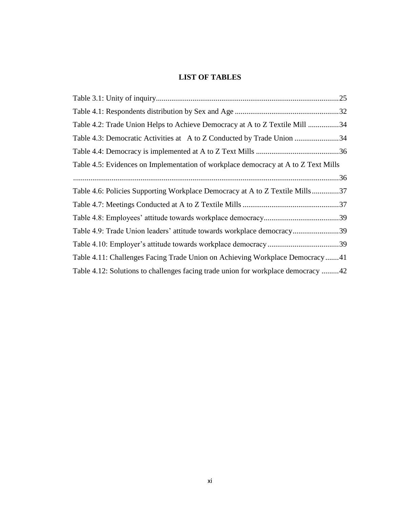# <span id="page-12-0"></span>**LIST OF TABLES**

| Table 4.2: Trade Union Helps to Achieve Democracy at A to Z Textile Mill 34        |  |
|------------------------------------------------------------------------------------|--|
| Table 4.3: Democratic Activities at A to Z Conducted by Trade Union 34             |  |
|                                                                                    |  |
| Table 4.5: Evidences on Implementation of workplace democracy at A to Z Text Mills |  |
|                                                                                    |  |
| Table 4.6: Policies Supporting Workplace Democracy at A to Z Textile Mills37       |  |
|                                                                                    |  |
|                                                                                    |  |
| Table 4.9: Trade Union leaders' attitude towards workplace democracy39             |  |
|                                                                                    |  |
| Table 4.11: Challenges Facing Trade Union on Achieving Workplace Democracy41       |  |
| Table 4.12: Solutions to challenges facing trade union for workplace democracy 42  |  |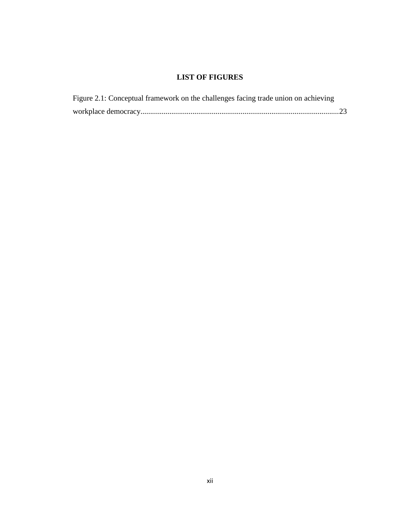# **LIST OF FIGURES**

<span id="page-13-0"></span>

| Figure 2.1: Conceptual framework on the challenges facing trade union on achieving |  |
|------------------------------------------------------------------------------------|--|
|                                                                                    |  |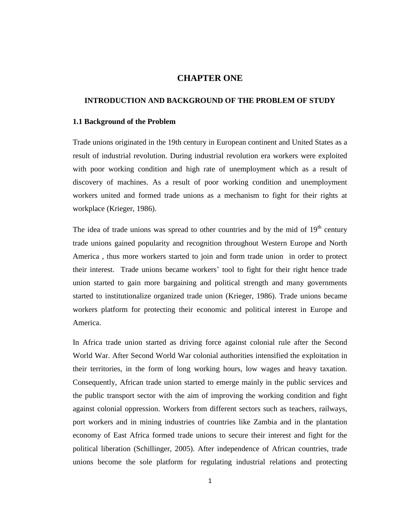# **CHAPTER ONE**

# <span id="page-14-1"></span><span id="page-14-0"></span>**INTRODUCTION AND BACKGROUND OF THE PROBLEM OF STUDY**

#### <span id="page-14-2"></span>**1.1 Background of the Problem**

Trade unions originated in the 19th century in European continent and United States as a result of industrial revolution. During industrial revolution era workers were exploited with poor working condition and high rate of unemployment which as a result of discovery of machines. As a result of poor working condition and unemployment workers united and formed trade unions as a mechanism to fight for their rights at workplace (Krieger, 1986).

The idea of trade unions was spread to other countries and by the mid of  $19<sup>th</sup>$  century trade unions gained popularity and recognition throughout Western Europe and North America , thus more workers started to join and form trade union in order to protect their interest. Trade unions became workers' tool to fight for their right hence trade union started to gain more bargaining and political strength and many governments started to institutionalize organized trade union (Krieger, 1986). Trade unions became workers platform for protecting their economic and political interest in Europe and America.

In Africa trade union started as driving force against colonial rule after the Second World War. After Second World War colonial authorities intensified the exploitation in their territories, in the form of long working hours, low wages and heavy taxation. Consequently, African trade union started to emerge mainly in the public services and the public transport sector with the aim of improving the working condition and fight against colonial oppression. Workers from different sectors such as teachers, railways, port workers and in mining industries of countries like Zambia and in the plantation economy of East Africa formed trade unions to secure their interest and fight for the political liberation (Schillinger, 2005). After independence of African countries, trade unions become the sole platform for regulating industrial relations and protecting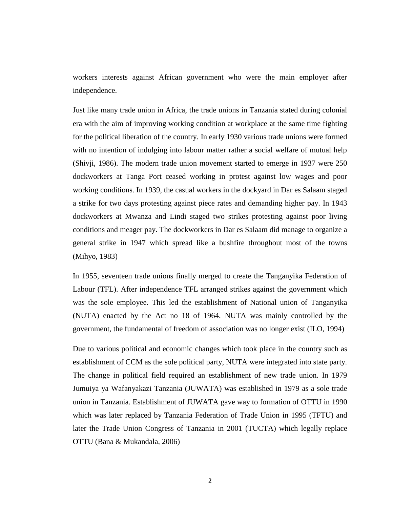workers interests against African government who were the main employer after independence.

Just like many trade union in Africa, the trade unions in Tanzania stated during colonial era with the aim of improving working condition at workplace at the same time fighting for the political liberation of the country. In early 1930 various trade unions were formed with no intention of indulging into labour matter rather a social welfare of mutual help (Shivji, 1986). The modern trade union movement started to emerge in 1937 were 250 dockworkers at Tanga Port ceased working in protest against low wages and poor working conditions. In 1939, the casual workers in the dockyard in Dar es Salaam staged a strike for two days protesting against piece rates and demanding higher pay. In 1943 dockworkers at Mwanza and Lindi staged two strikes protesting against poor living conditions and meager pay. The dockworkers in Dar es Salaam did manage to organize a general strike in 1947 which spread like a bushfire throughout most of the towns (Mihyo, 1983)

In 1955, seventeen trade unions finally merged to create the Tanganyika Federation of Labour (TFL). After independence TFL arranged strikes against the government which was the sole employee. This led the establishment of National union of Tanganyika (NUTA) enacted by the Act no 18 of 1964. NUTA was mainly controlled by the government, the fundamental of freedom of association was no longer exist (ILO, 1994)

Due to various political and economic changes which took place in the country such as establishment of CCM as the sole political party, NUTA were integrated into state party. The change in political field required an establishment of new trade union. In 1979 Jumuiya ya Wafanyakazi Tanzania (JUWATA) was established in 1979 as a sole trade union in Tanzania. Establishment of JUWATA gave way to formation of OTTU in 1990 which was later replaced by Tanzania Federation of Trade Union in 1995 (TFTU) and later the Trade Union Congress of Tanzania in 2001 (TUCTA) which legally replace OTTU (Bana & Mukandala, 2006)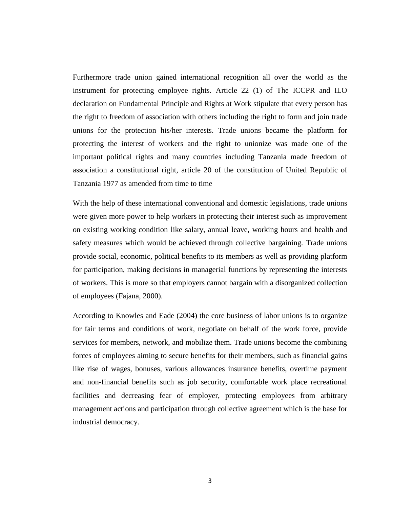Furthermore trade union gained international recognition all over the world as the instrument for protecting employee rights. Article 22 (1) of The ICCPR and ILO declaration on Fundamental Principle and Rights at Work stipulate that every person has the right to freedom of association with others including the right to form and join trade unions for the protection his/her interests. Trade unions became the platform for protecting the interest of workers and the right to unionize was made one of the important political rights and many countries including Tanzania made freedom of association a constitutional right, article 20 of the constitution of United Republic of Tanzania 1977 as amended from time to time

With the help of these international conventional and domestic legislations, trade unions were given more power to help workers in protecting their interest such as improvement on existing working condition like salary, annual leave, working hours and health and safety measures which would be achieved through collective bargaining. Trade unions provide social, economic, political benefits to its members as well as providing platform for participation, making decisions in managerial functions by representing the interests of workers. This is more so that employers cannot bargain with a disorganized collection of employees (Fajana, 2000).

According to Knowles and Eade (2004) the core business of labor unions is to organize for fair terms and conditions of work, negotiate on behalf of the work force, provide services for members, network, and mobilize them. Trade unions become the combining forces of employees aiming to secure benefits for their members, such as financial gains like rise of wages, bonuses, various allowances insurance benefits, overtime payment and non-financial benefits such as job security, comfortable work place recreational facilities and decreasing fear of employer, protecting employees from arbitrary management actions and participation through collective agreement which is the base for industrial democracy.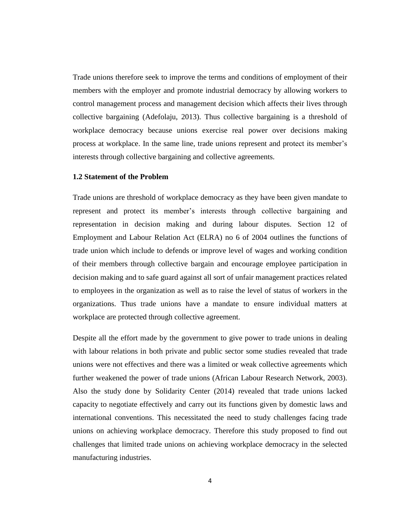Trade unions therefore seek to improve the terms and conditions of employment of their members with the employer and promote industrial democracy by allowing workers to control management process and management decision which affects their lives through collective bargaining (Adefolaju, 2013). Thus collective bargaining is a threshold of workplace democracy because unions exercise real power over decisions making process at workplace. In the same line, trade unions represent and protect its member's interests through collective bargaining and collective agreements.

# <span id="page-17-0"></span>**1.2 Statement of the Problem**

Trade unions are threshold of workplace democracy as they have been given mandate to represent and protect its member's interests through collective bargaining and representation in decision making and during labour disputes. Section 12 of Employment and Labour Relation Act (ELRA) no 6 of 2004 outlines the functions of trade union which include to defends or improve level of wages and working condition of their members through collective bargain and encourage employee participation in decision making and to safe guard against all sort of unfair management practices related to employees in the organization as well as to raise the level of status of workers in the organizations. Thus trade unions have a mandate to ensure individual matters at workplace are protected through collective agreement.

Despite all the effort made by the government to give power to trade unions in dealing with labour relations in both private and public sector some studies revealed that trade unions were not effectives and there was a limited or weak collective agreements which further weakened the power of trade unions (African Labour Research Network, 2003). Also the study done by Solidarity Center (2014) revealed that trade unions lacked capacity to negotiate effectively and carry out its functions given by domestic laws and international conventions. This necessitated the need to study challenges facing trade unions on achieving workplace democracy. Therefore this study proposed to find out challenges that limited trade unions on achieving workplace democracy in the selected manufacturing industries.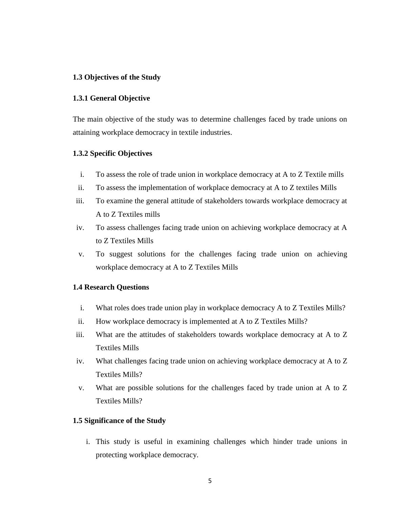# <span id="page-18-0"></span>**1.3 Objectives of the Study**

# <span id="page-18-1"></span>**1.3.1 General Objective**

The main objective of the study was to determine challenges faced by trade unions on attaining workplace democracy in textile industries.

# <span id="page-18-2"></span>**1.3.2 Specific Objectives**

- i. To assess the role of trade union in workplace democracy at A to Z Textile mills
- ii. To assess the implementation of workplace democracy at A to Z textiles Mills
- iii. To examine the general attitude of stakeholders towards workplace democracy at A to Z Textiles mills
- iv. To assess challenges facing trade union on achieving workplace democracy at A to Z Textiles Mills
- v. To suggest solutions for the challenges facing trade union on achieving workplace democracy at A to Z Textiles Mills

# <span id="page-18-3"></span>**1.4 Research Questions**

- i. What roles does trade union play in workplace democracy A to Z Textiles Mills?
- ii. How workplace democracy is implemented at A to Z Textiles Mills?
- iii. What are the attitudes of stakeholders towards workplace democracy at A to Z Textiles Mills
- iv. What challenges facing trade union on achieving workplace democracy at A to Z Textiles Mills?
- v. What are possible solutions for the challenges faced by trade union at A to Z Textiles Mills?

# <span id="page-18-4"></span>**1.5 Significance of the Study**

i. This study is useful in examining challenges which hinder trade unions in protecting workplace democracy.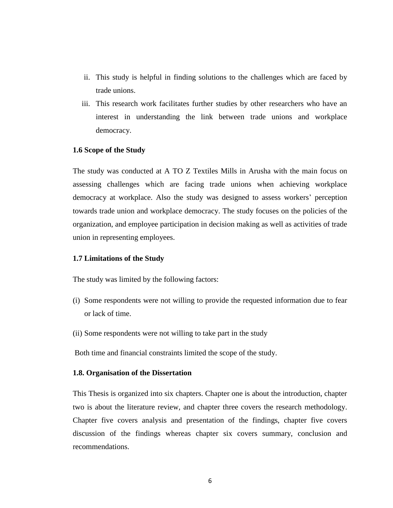- ii. This study is helpful in finding solutions to the challenges which are faced by trade unions.
- iii. This research work facilitates further studies by other researchers who have an interest in understanding the link between trade unions and workplace democracy.

# <span id="page-19-0"></span>**1.6 Scope of the Study**

The study was conducted at A TO Z Textiles Mills in Arusha with the main focus on assessing challenges which are facing trade unions when achieving workplace democracy at workplace. Also the study was designed to assess workers' perception towards trade union and workplace democracy. The study focuses on the policies of the organization, and employee participation in decision making as well as activities of trade union in representing employees.

#### <span id="page-19-1"></span>**1.7 Limitations of the Study**

The study was limited by the following factors:

- (i) Some respondents were not willing to provide the requested information due to fear or lack of time.
- (ii) Some respondents were not willing to take part in the study

Both time and financial constraints limited the scope of the study.

#### <span id="page-19-2"></span>**1.8. Organisation of the Dissertation**

This Thesis is organized into six chapters. Chapter one is about the introduction, chapter two is about the literature review, and chapter three covers the research methodology. Chapter five covers analysis and presentation of the findings, chapter five covers discussion of the findings whereas chapter six covers summary, conclusion and recommendations.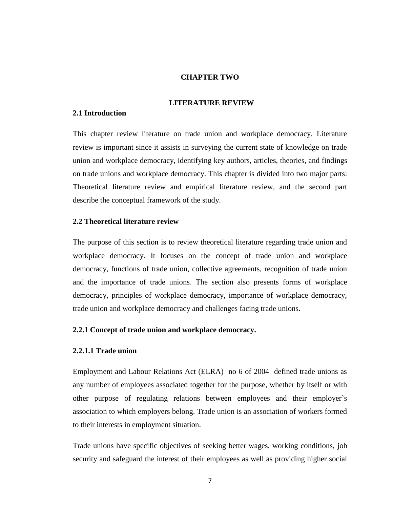# **CHAPTER TWO**

# <span id="page-20-1"></span> **LITERATURE REVIEW**

# <span id="page-20-2"></span><span id="page-20-0"></span>**2.1 Introduction**

This chapter review literature on trade union and workplace democracy. Literature review is important since it assists in surveying the current state of knowledge on trade union and workplace democracy, identifying key authors, articles, theories, and findings on trade unions and workplace democracy. This chapter is divided into two major parts: Theoretical literature review and empirical literature review, and the second part describe the conceptual framework of the study.

# <span id="page-20-3"></span>**2.2 Theoretical literature review**

The purpose of this section is to review theoretical literature regarding trade union and workplace democracy. It focuses on the concept of trade union and workplace democracy, functions of trade union, collective agreements, recognition of trade union and the importance of trade unions. The section also presents forms of workplace democracy, principles of workplace democracy, importance of workplace democracy, trade union and workplace democracy and challenges facing trade unions.

#### <span id="page-20-4"></span>**2.2.1 Concept of trade union and workplace democracy.**

## <span id="page-20-5"></span>**2.2.1.1 Trade union**

Employment and Labour Relations Act (ELRA) no 6 of 2004 defined trade unions as any number of employees associated together for the purpose, whether by itself or with other purpose of regulating relations between employees and their employer`s association to which employers belong. Trade union is an association of workers formed to their interests in employment situation.

Trade unions have specific objectives of seeking better wages, working conditions, job security and safeguard the interest of their employees as well as providing higher social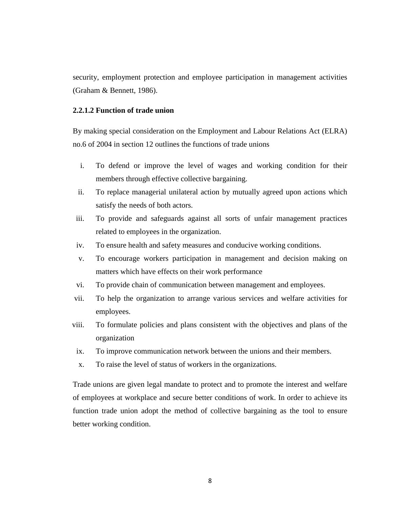security, employment protection and employee participation in management activities (Graham & Bennett, 1986).

# <span id="page-21-0"></span>**2.2.1.2 Function of trade union**

By making special consideration on the Employment and Labour Relations Act (ELRA) no.6 of 2004 in section 12 outlines the functions of trade unions

- i. To defend or improve the level of wages and working condition for their members through effective collective bargaining.
- ii. To replace managerial unilateral action by mutually agreed upon actions which satisfy the needs of both actors.
- iii. To provide and safeguards against all sorts of unfair management practices related to employees in the organization.
- iv. To ensure health and safety measures and conducive working conditions.
- v. To encourage workers participation in management and decision making on matters which have effects on their work performance
- vi. To provide chain of communication between management and employees.
- vii. To help the organization to arrange various services and welfare activities for employees.
- viii. To formulate policies and plans consistent with the objectives and plans of the organization
- ix. To improve communication network between the unions and their members.
- x. To raise the level of status of workers in the organizations.

Trade unions are given legal mandate to protect and to promote the interest and welfare of employees at workplace and secure better conditions of work. In order to achieve its function trade union adopt the method of collective bargaining as the tool to ensure better working condition.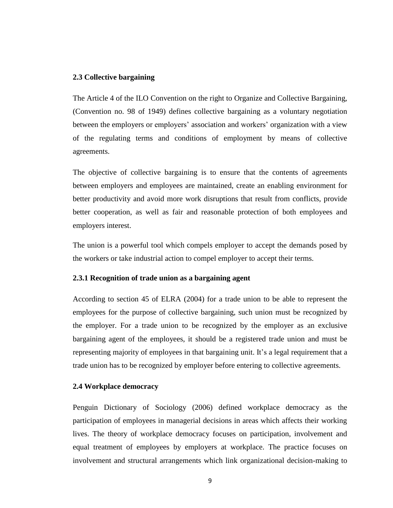# <span id="page-22-0"></span>**2.3 Collective bargaining**

The Article 4 of the ILO Convention on the right to Organize and Collective Bargaining, (Convention no. 98 of 1949) defines collective bargaining as a voluntary negotiation between the employers or employers' association and workers' organization with a view of the regulating terms and conditions of employment by means of collective agreements.

The objective of collective bargaining is to ensure that the contents of agreements between employers and employees are maintained, create an enabling environment for better productivity and avoid more work disruptions that result from conflicts, provide better cooperation, as well as fair and reasonable protection of both employees and employers interest.

The union is a powerful tool which compels employer to accept the demands posed by the workers or take industrial action to compel employer to accept their terms.

# <span id="page-22-1"></span>**2.3.1 Recognition of trade union as a bargaining agent**

According to section 45 of ELRA (2004) for a trade union to be able to represent the employees for the purpose of collective bargaining, such union must be recognized by the employer. For a trade union to be recognized by the employer as an exclusive bargaining agent of the employees, it should be a registered trade union and must be representing majority of employees in that bargaining unit. It's a legal requirement that a trade union has to be recognized by employer before entering to collective agreements.

# <span id="page-22-2"></span>**2.4 Workplace democracy**

Penguin Dictionary of Sociology (2006) defined workplace democracy as the participation of employees in managerial decisions in areas which affects their working lives. The theory of workplace democracy focuses on participation, involvement and equal treatment of employees by employers at workplace. The practice focuses on involvement and structural arrangements which link organizational decision-making to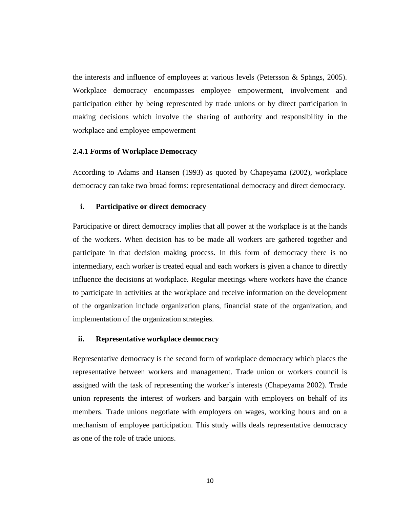the interests and influence of employees at various levels (Petersson & Spängs, 2005). Workplace democracy encompasses employee empowerment, involvement and participation either by being represented by trade unions or by direct participation in making decisions which involve the sharing of authority and responsibility in the workplace and employee empowerment

# <span id="page-23-0"></span>**2.4.1 Forms of Workplace Democracy**

According to Adams and Hansen (1993) as quoted by Chapeyama (2002), workplace democracy can take two broad forms: representational democracy and direct democracy.

# **i. Participative or direct democracy**

Participative or direct democracy implies that all power at the workplace is at the hands of the workers. When decision has to be made all workers are gathered together and participate in that decision making process. In this form of democracy there is no intermediary, each worker is treated equal and each workers is given a chance to directly influence the decisions at workplace. Regular meetings where workers have the chance to participate in activities at the workplace and receive information on the development of the organization include organization plans, financial state of the organization, and implementation of the organization strategies.

# **ii. Representative workplace democracy**

Representative democracy is the second form of workplace democracy which places the representative between workers and management. Trade union or workers council is assigned with the task of representing the worker`s interests (Chapeyama 2002). Trade union represents the interest of workers and bargain with employers on behalf of its members. Trade unions negotiate with employers on wages, working hours and on a mechanism of employee participation. This study wills deals representative democracy as one of the role of trade unions.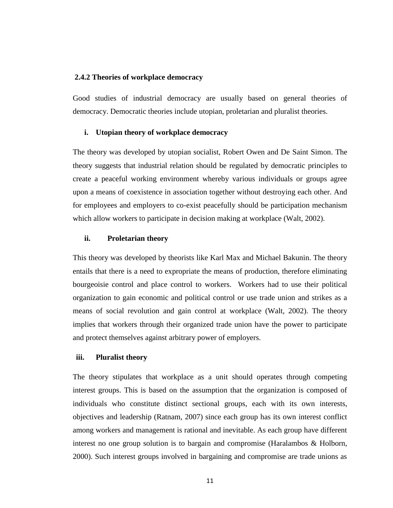# <span id="page-24-0"></span>**2.4.2 Theories of workplace democracy**

Good studies of industrial democracy are usually based on general theories of democracy. Democratic theories include utopian, proletarian and pluralist theories.

#### **i. Utopian theory of workplace democracy**

The theory was developed by utopian socialist, Robert Owen and De Saint Simon. The theory suggests that industrial relation should be regulated by democratic principles to create a peaceful working environment whereby various individuals or groups agree upon a means of coexistence in association together without destroying each other. And for employees and employers to co-exist peacefully should be participation mechanism which allow workers to participate in decision making at workplace (Walt, 2002).

### **ii. Proletarian theory**

This theory was developed by theorists like Karl Max and Michael Bakunin. The theory entails that there is a need to expropriate the means of production, therefore eliminating bourgeoisie control and place control to workers. Workers had to use their political organization to gain economic and political control or use trade union and strikes as a means of social revolution and gain control at workplace (Walt, 2002). The theory implies that workers through their organized trade union have the power to participate and protect themselves against arbitrary power of employers.

#### **iii. Pluralist theory**

The theory stipulates that workplace as a unit should operates through competing interest groups. This is based on the assumption that the organization is composed of individuals who constitute distinct sectional groups, each with its own interests, objectives and leadership (Ratnam, 2007) since each group has its own interest conflict among workers and management is rational and inevitable. As each group have different interest no one group solution is to bargain and compromise (Haralambos & Holborn, 2000). Such interest groups involved in bargaining and compromise are trade unions as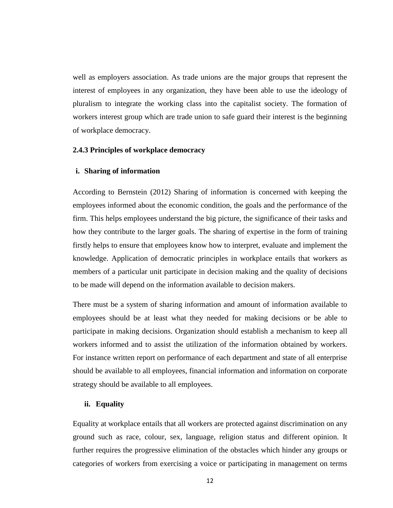well as employers association. As trade unions are the major groups that represent the interest of employees in any organization, they have been able to use the ideology of pluralism to integrate the working class into the capitalist society. The formation of workers interest group which are trade union to safe guard their interest is the beginning of workplace democracy.

# <span id="page-25-0"></span>**2.4.3 Principles of workplace democracy**

#### **i. Sharing of information**

According to Bernstein (2012) Sharing of information is concerned with keeping the employees informed about the economic condition, the goals and the performance of the firm. This helps employees understand the big picture, the significance of their tasks and how they contribute to the larger goals. The sharing of expertise in the form of training firstly helps to ensure that employees know how to interpret, evaluate and implement the knowledge. Application of democratic principles in workplace entails that workers as members of a particular unit participate in decision making and the quality of decisions to be made will depend on the information available to decision makers.

There must be a system of sharing information and amount of information available to employees should be at least what they needed for making decisions or be able to participate in making decisions. Organization should establish a mechanism to keep all workers informed and to assist the utilization of the information obtained by workers. For instance written report on performance of each department and state of all enterprise should be available to all employees, financial information and information on corporate strategy should be available to all employees.

### **ii. Equality**

Equality at workplace entails that all workers are protected against discrimination on any ground such as race, colour, sex, language, religion status and different opinion. It further requires the progressive elimination of the obstacles which hinder any groups or categories of workers from exercising a voice or participating in management on terms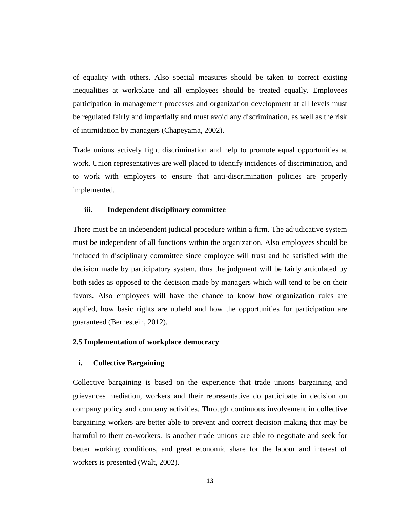of equality with others. Also special measures should be taken to correct existing inequalities at workplace and all employees should be treated equally. Employees participation in management processes and organization development at all levels must be regulated fairly and impartially and must avoid any discrimination, as well as the risk of intimidation by managers (Chapeyama, 2002).

Trade unions actively fight discrimination and help to promote equal opportunities at work. Union representatives are well placed to identify incidences of discrimination, and to work with employers to ensure that anti-discrimination policies are properly implemented.

# **iii. Independent disciplinary committee**

There must be an independent judicial procedure within a firm. The adjudicative system must be independent of all functions within the organization. Also employees should be included in disciplinary committee since employee will trust and be satisfied with the decision made by participatory system, thus the judgment will be fairly articulated by both sides as opposed to the decision made by managers which will tend to be on their favors. Also employees will have the chance to know how organization rules are applied, how basic rights are upheld and how the opportunities for participation are guaranteed (Bernestein, 2012).

# <span id="page-26-0"></span>**2.5 Implementation of workplace democracy**

# **i. Collective Bargaining**

Collective bargaining is based on the experience that trade unions bargaining and grievances mediation, workers and their representative do participate in decision on company policy and company activities. Through continuous involvement in collective bargaining workers are better able to prevent and correct decision making that may be harmful to their co-workers. Is another trade unions are able to negotiate and seek for better working conditions, and great economic share for the labour and interest of workers is presented (Walt, 2002).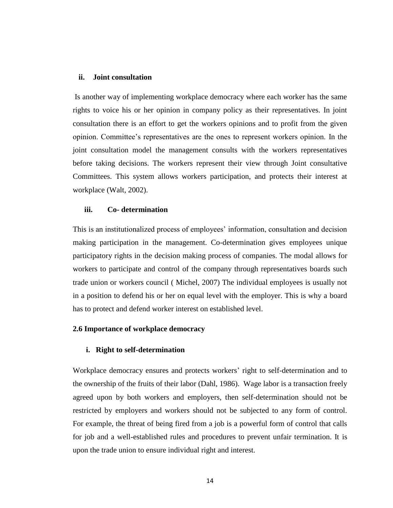# **ii. Joint consultation**

Is another way of implementing workplace democracy where each worker has the same rights to voice his or her opinion in company policy as their representatives. In joint consultation there is an effort to get the workers opinions and to profit from the given opinion. Committee's representatives are the ones to represent workers opinion. In the joint consultation model the management consults with the workers representatives before taking decisions. The workers represent their view through Joint consultative Committees. This system allows workers participation, and protects their interest at workplace (Walt, 2002).

# **iii. Co- determination**

This is an institutionalized process of employees' information, consultation and decision making participation in the management. Co-determination gives employees unique participatory rights in the decision making process of companies. The modal allows for workers to participate and control of the company through representatives boards such trade union or workers council ( Michel, 2007) The individual employees is usually not in a position to defend his or her on equal level with the employer. This is why a board has to protect and defend worker interest on established level.

# <span id="page-27-0"></span>**2.6 Importance of workplace democracy**

# **i. Right to self-determination**

Workplace democracy ensures and protects workers' right to self-determination and to the ownership of the fruits of their labor (Dahl, 1986). Wage labor is a transaction freely agreed upon by both workers and employers, then self-determination should not be restricted by employers and workers should not be subjected to any form of control. For example, the threat of being fired from a job is a powerful form of control that calls for job and a well-established rules and procedures to prevent unfair termination. It is upon the trade union to ensure individual right and interest.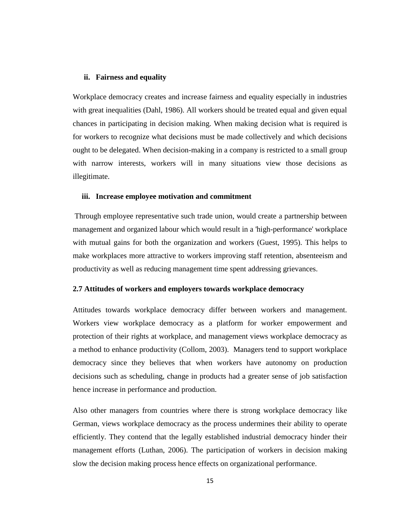# **ii. Fairness and equality**

Workplace democracy creates and increase fairness and equality especially in industries with great inequalities (Dahl, 1986). All workers should be treated equal and given equal chances in participating in decision making. When making decision what is required is for workers to recognize what decisions must be made collectively and which decisions ought to be delegated. When decision-making in a company is restricted to a small group with narrow interests, workers will in many situations view those decisions as illegitimate.

#### **iii. Increase employee motivation and commitment**

Through employee representative such trade union, would create a partnership between management and organized labour which would result in a 'high-performance' workplace with mutual gains for both the organization and workers (Guest, 1995). This helps to make workplaces more attractive to workers improving staff retention, absenteeism and productivity as well as reducing management time spent addressing grievances.

# <span id="page-28-0"></span>**2.7 Attitudes of workers and employers towards workplace democracy**

Attitudes towards workplace democracy differ between workers and management. Workers view workplace democracy as a platform for worker empowerment and protection of their rights at workplace, and management views workplace democracy as a method to enhance productivity (Collom, 2003). Managers tend to support workplace democracy since they believes that when workers have autonomy on production decisions such as scheduling, change in products had a greater sense of job satisfaction hence increase in performance and production.

Also other managers from countries where there is strong workplace democracy like German, views workplace democracy as the process undermines their ability to operate efficiently. They contend that the legally established industrial democracy hinder their management efforts (Luthan, 2006). The participation of workers in decision making slow the decision making process hence effects on organizational performance.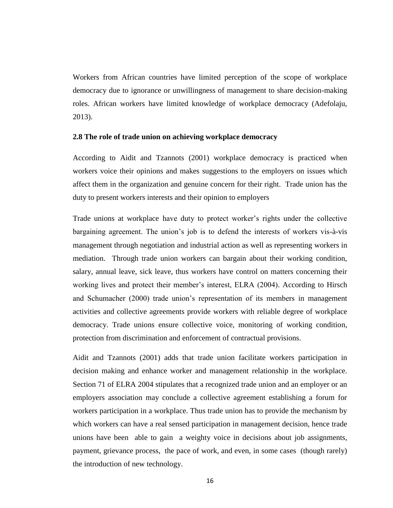Workers from African countries have limited perception of the scope of workplace democracy due to ignorance or unwillingness of management to share decision-making roles. African workers have limited knowledge of workplace democracy (Adefolaju, 2013).

# <span id="page-29-0"></span>**2.8 The role of trade union on achieving workplace democracy**

According to Aidit and Tzannots (2001) workplace democracy is practiced when workers voice their opinions and makes suggestions to the employers on issues which affect them in the organization and genuine concern for their right. Trade union has the duty to present workers interests and their opinion to employers

Trade unions at workplace have duty to protect worker's rights under the collective bargaining agreement. The union's job is to defend the interests of workers vis-à-vis management through negotiation and industrial action as well as representing workers in mediation. Through trade union workers can bargain about their working condition, salary, annual leave, sick leave, thus workers have control on matters concerning their working lives and protect their member's interest, ELRA (2004). According to Hirsch and Schumacher (2000) trade union's representation of its members in management activities and collective agreements provide workers with reliable degree of workplace democracy. Trade unions ensure collective voice, monitoring of working condition, protection from discrimination and enforcement of contractual provisions.

Aidit and Tzannots (2001) adds that trade union facilitate workers participation in decision making and enhance worker and management relationship in the workplace. Section 71 of ELRA 2004 stipulates that a recognized trade union and an employer or an employers association may conclude a collective agreement establishing a forum for workers participation in a workplace. Thus trade union has to provide the mechanism by which workers can have a real sensed participation in management decision, hence trade unions have been able to gain a weighty voice in decisions about job assignments, payment, grievance process, the pace of work, and even, in some cases (though rarely) the introduction of new technology.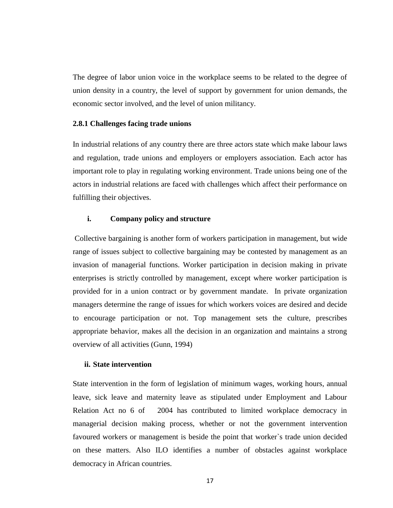The degree of labor union voice in the workplace seems to be related to the degree of union density in a country, the level of support by government for union demands, the economic sector involved, and the level of union militancy.

# <span id="page-30-0"></span>**2.8.1 Challenges facing trade unions**

In industrial relations of any country there are three actors state which make labour laws and regulation, trade unions and employers or employers association. Each actor has important role to play in regulating working environment. Trade unions being one of the actors in industrial relations are faced with challenges which affect their performance on fulfilling their objectives.

# **i. Company policy and structure**

Collective bargaining is another form of workers participation in management, but wide range of issues subject to collective bargaining may be contested by management as an invasion of managerial functions. Worker participation in decision making in private enterprises is strictly controlled by management, except where worker participation is provided for in a union contract or by government mandate. In private organization managers determine the range of issues for which workers voices are desired and decide to encourage participation or not. Top management sets the culture, prescribes appropriate behavior, makes all the decision in an organization and maintains a strong overview of all activities (Gunn, 1994)

# **ii. State intervention**

State intervention in the form of legislation of minimum wages, working hours, annual leave, sick leave and maternity leave as stipulated under Employment and Labour Relation Act no 6 of 2004 has contributed to limited workplace democracy in managerial decision making process, whether or not the government intervention favoured workers or management is beside the point that worker`s trade union decided on these matters. Also ILO identifies a number of obstacles against workplace democracy in African countries.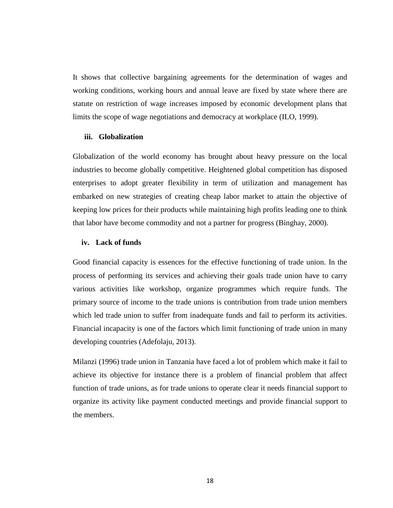It shows that collective bargaining agreements for the determination of wages and working conditions, working hours and annual leave are fixed by state where there are statute on restriction of wage increases imposed by economic development plans that limits the scope of wage negotiations and democracy at workplace (ILO, 1999).

# **iii. Globalization**

Globalization of the world economy has brought about heavy pressure on the local industries to become globally competitive. Heightened global competition has disposed enterprises to adopt greater flexibility in term of utilization and management has embarked on new strategies of creating cheap labor market to attain the objective of keeping low prices for their products while maintaining high profits leading one to think that labor have become commodity and not a partner for progress (Binghay, 2000).

# **iv. Lack of funds**

Good financial capacity is essences for the effective functioning of trade union. In the process of performing its services and achieving their goals trade union have to carry various activities like workshop, organize programmes which require funds. The primary source of income to the trade unions is contribution from trade union members which led trade union to suffer from inadequate funds and fail to perform its activities. Financial incapacity is one of the factors which limit functioning of trade union in many developing countries (Adefolaju, 2013).

Milanzi (1996) trade union in Tanzania have faced a lot of problem which make it fail to achieve its objective for instance there is a problem of financial problem that affect function of trade unions, as for trade unions to operate clear it needs financial support to organize its activity like payment conducted meetings and provide financial support to the members.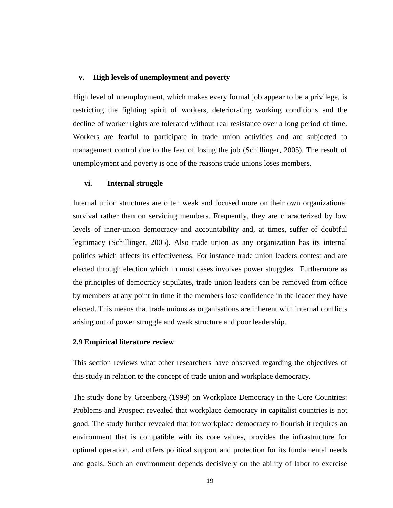#### **v. High levels of unemployment and poverty**

High level of unemployment, which makes every formal job appear to be a privilege, is restricting the fighting spirit of workers, deteriorating working conditions and the decline of worker rights are tolerated without real resistance over a long period of time. Workers are fearful to participate in trade union activities and are subjected to management control due to the fear of losing the job (Schillinger, 2005). The result of unemployment and poverty is one of the reasons trade unions loses members.

# **vi. Internal struggle**

Internal union structures are often weak and focused more on their own organizational survival rather than on servicing members. Frequently, they are characterized by low levels of inner-union democracy and accountability and, at times, suffer of doubtful legitimacy (Schillinger, 2005). Also trade union as any organization has its internal politics which affects its effectiveness. For instance trade union leaders contest and are elected through election which in most cases involves power struggles. Furthermore as the principles of democracy stipulates, trade union leaders can be removed from office by members at any point in time if the members lose confidence in the leader they have elected. This means that trade unions as organisations are inherent with internal conflicts arising out of power struggle and weak structure and poor leadership.

### <span id="page-32-0"></span>**2.9 Empirical literature review**

This section reviews what other researchers have observed regarding the objectives of this study in relation to the concept of trade union and workplace democracy.

The study done by Greenberg (1999) on Workplace Democracy in the Core Countries: Problems and Prospect revealed that workplace democracy in capitalist countries is not good. The study further revealed that for workplace democracy to flourish it requires an environment that is compatible with its core values, provides the infrastructure for optimal operation, and offers political support and protection for its fundamental needs and goals. Such an environment depends decisively on the ability of labor to exercise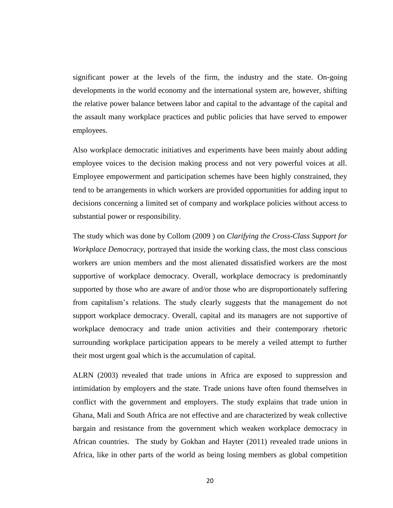significant power at the levels of the firm, the industry and the state. On-going developments in the world economy and the international system are, however, shifting the relative power balance between labor and capital to the advantage of the capital and the assault many workplace practices and public policies that have served to empower employees.

Also workplace democratic initiatives and experiments have been mainly about adding employee voices to the decision making process and not very powerful voices at all. Employee empowerment and participation schemes have been highly constrained, they tend to be arrangements in which workers are provided opportunities for adding input to decisions concerning a limited set of company and workplace policies without access to substantial power or responsibility.

The study which was done by Collom (2009 ) on *Clarifying the Cross-Class Support for Workplace Democracy*, portrayed that inside the working class, the most class conscious workers are union members and the most alienated dissatisfied workers are the most supportive of workplace democracy. Overall, workplace democracy is predominantly supported by those who are aware of and/or those who are disproportionately suffering from capitalism's relations. The study clearly suggests that the management do not support workplace democracy. Overall, capital and its managers are not supportive of workplace democracy and trade union activities and their contemporary rhetoric surrounding workplace participation appears to be merely a veiled attempt to further their most urgent goal which is the accumulation of capital.

ALRN (2003) revealed that trade unions in Africa are exposed to suppression and intimidation by employers and the state. Trade unions have often found themselves in conflict with the government and employers. The study explains that trade union in Ghana, Mali and South Africa are not effective and are characterized by weak collective bargain and resistance from the government which weaken workplace democracy in African countries. The study by Gokhan and Hayter (2011) revealed trade unions in Africa, like in other parts of the world as being losing members as global competition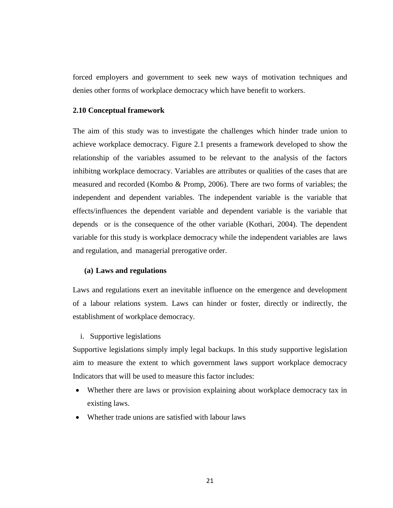forced employers and government to seek new ways of motivation techniques and denies other forms of workplace democracy which have benefit to workers.

# <span id="page-34-0"></span>**2.10 Conceptual framework**

The aim of this study was to investigate the challenges which hinder trade union to achieve workplace democracy. Figure 2.1 presents a framework developed to show the relationship of the variables assumed to be relevant to the analysis of the factors inhibitng workplace democracy. Variables are attributes or qualities of the cases that are measured and recorded (Kombo & Promp, 2006). There are two forms of variables; the independent and dependent variables. The independent variable is the variable that effects/influences the dependent variable and dependent variable is the variable that depends or is the consequence of the other variable (Kothari, 2004). The dependent variable for this study is workplace democracy while the independent variables are laws and regulation, and managerial prerogative order.

#### **(a) Laws and regulations**

Laws and regulations exert an inevitable influence on the emergence and development of a labour relations system. Laws can hinder or foster, directly or indirectly, the establishment of workplace democracy.

#### i. Supportive legislations

Supportive legislations simply imply legal backups. In this study supportive legislation aim to measure the extent to which government laws support workplace democracy Indicators that will be used to measure this factor includes:

- Whether there are laws or provision explaining about workplace democracy tax in existing laws.
- Whether trade unions are satisfied with labour laws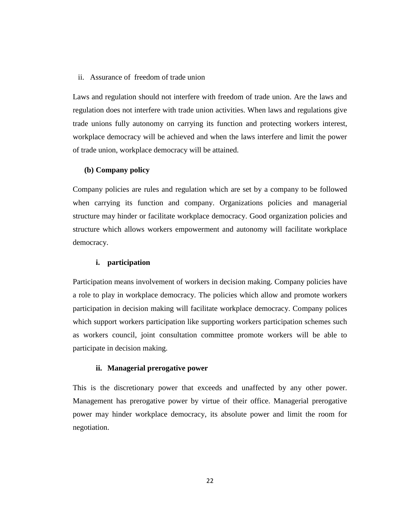# ii. Assurance of freedom of trade union

Laws and regulation should not interfere with freedom of trade union. Are the laws and regulation does not interfere with trade union activities. When laws and regulations give trade unions fully autonomy on carrying its function and protecting workers interest, workplace democracy will be achieved and when the laws interfere and limit the power of trade union, workplace democracy will be attained.

# **(b) Company policy**

Company policies are rules and regulation which are set by a company to be followed when carrying its function and company. Organizations policies and managerial structure may hinder or facilitate workplace democracy. Good organization policies and structure which allows workers empowerment and autonomy will facilitate workplace democracy.

#### **i. participation**

Participation means involvement of workers in decision making. Company policies have a role to play in workplace democracy. The policies which allow and promote workers participation in decision making will facilitate workplace democracy. Company polices which support workers participation like supporting workers participation schemes such as workers council, joint consultation committee promote workers will be able to participate in decision making.

# **ii. Managerial prerogative power**

This is the discretionary power that exceeds and unaffected by any other power. Management has prerogative power by virtue of their office. Managerial prerogative power may hinder workplace democracy, its absolute power and limit the room for negotiation.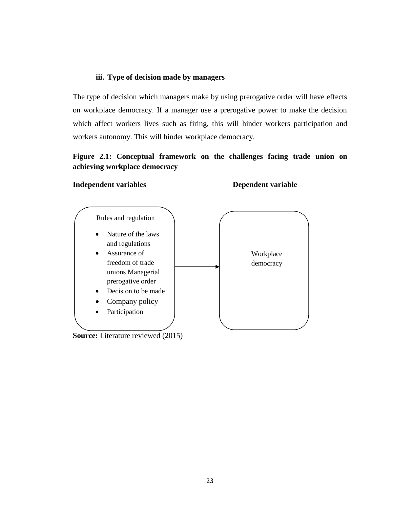# **iii. Type of decision made by managers**

The type of decision which managers make by using prerogative order will have effects on workplace democracy. If a manager use a prerogative power to make the decision which affect workers lives such as firing, this will hinder workers participation and workers autonomy. This will hinder workplace democracy.

# **Figure 2.1: Conceptual framework on the challenges facing trade union on achieving workplace democracy**

# **Independent variables Dependent variable**

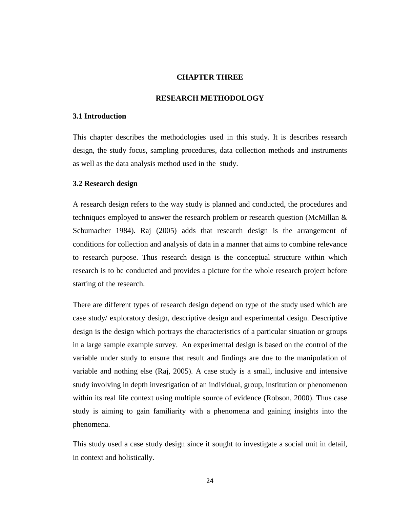## **CHAPTER THREE**

## **RESEARCH METHODOLOGY**

# **3.1 Introduction**

This chapter describes the methodologies used in this study. It is describes research design, the study focus, sampling procedures, data collection methods and instruments as well as the data analysis method used in the study.

# **3.2 Research design**

A research design refers to the way study is planned and conducted, the procedures and techniques employed to answer the research problem or research question (McMillan & Schumacher 1984). Raj (2005) adds that research design is the arrangement of conditions for collection and analysis of data in a manner that aims to combine relevance to research purpose. Thus research design is the conceptual structure within which research is to be conducted and provides a picture for the whole research project before starting of the research.

There are different types of research design depend on type of the study used which are case study/ exploratory design, descriptive design and experimental design. Descriptive design is the design which portrays the characteristics of a particular situation or groups in a large sample example survey. An experimental design is based on the control of the variable under study to ensure that result and findings are due to the manipulation of variable and nothing else (Raj, 2005). A case study is a small, inclusive and intensive study involving in depth investigation of an individual, group, institution or phenomenon within its real life context using multiple source of evidence (Robson, 2000). Thus case study is aiming to gain familiarity with a phenomena and gaining insights into the phenomena.

This study used a case study design since it sought to investigate a social unit in detail, in context and holistically.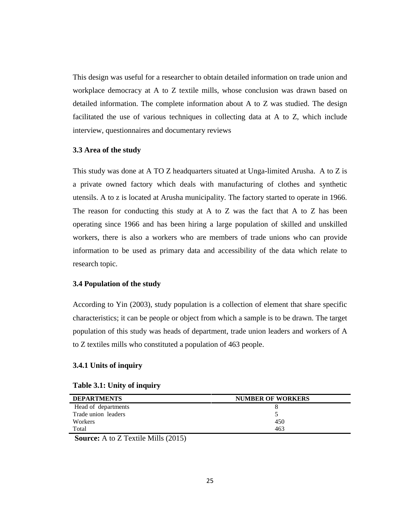This design was useful for a researcher to obtain detailed information on trade union and workplace democracy at A to Z textile mills, whose conclusion was drawn based on detailed information. The complete information about A to Z was studied. The design facilitated the use of various techniques in collecting data at A to Z, which include interview, questionnaires and documentary reviews

# **3.3 Area of the study**

This study was done at A TO Z headquarters situated at Unga-limited Arusha. A to Z is a private owned factory which deals with manufacturing of clothes and synthetic utensils. A to z is located at Arusha municipality. The factory started to operate in 1966. The reason for conducting this study at A to Z was the fact that A to Z has been operating since 1966 and has been hiring a large population of skilled and unskilled workers, there is also a workers who are members of trade unions who can provide information to be used as primary data and accessibility of the data which relate to research topic.

# **3.4 Population of the study**

According to Yin (2003), study population is a collection of element that share specific characteristics; it can be people or object from which a sample is to be drawn. The target population of this study was heads of department, trade union leaders and workers of A to Z textiles mills who constituted a population of 463 people.

# **3.4.1 Units of inquiry**

| Table 3.1: Unity of inquiry |  |  |  |
|-----------------------------|--|--|--|
|-----------------------------|--|--|--|

| <b>DEPARTMENTS</b>                                                                                                                                                                                                                                                                                                                                                   | <b>NUMBER OF WORKERS</b> |
|----------------------------------------------------------------------------------------------------------------------------------------------------------------------------------------------------------------------------------------------------------------------------------------------------------------------------------------------------------------------|--------------------------|
| Head of departments                                                                                                                                                                                                                                                                                                                                                  |                          |
| Trade union leaders                                                                                                                                                                                                                                                                                                                                                  |                          |
| Workers                                                                                                                                                                                                                                                                                                                                                              | 450                      |
| Total                                                                                                                                                                                                                                                                                                                                                                | 463                      |
| $\sim$<br>$\mathbf{a}$ $\mathbf{a}$ $\mathbf{b}$ $\mathbf{c}$ $\mathbf{c}$ $\mathbf{d}$ $\mathbf{c}$ $\mathbf{c}$ $\mathbf{d}$ $\mathbf{c}$ $\mathbf{c}$ $\mathbf{c}$ $\mathbf{c}$ $\mathbf{c}$ $\mathbf{c}$ $\mathbf{c}$ $\mathbf{c}$ $\mathbf{c}$ $\mathbf{c}$ $\mathbf{c}$ $\mathbf{c}$ $\mathbf{c}$ $\mathbf{c}$ $\mathbf{c}$ $\mathbf{$<br>$\sim$ $\sim$ $\sim$ |                          |

**Source:** A to Z Textile Mills (2015)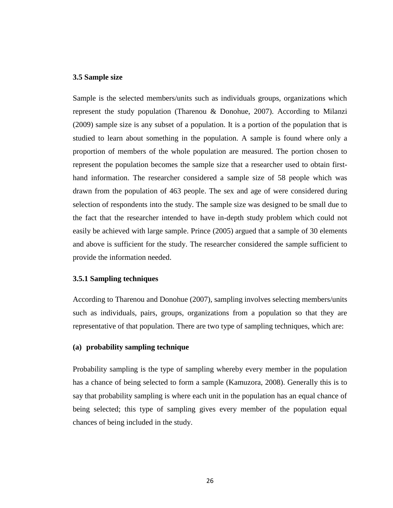# **3.5 Sample size**

Sample is the selected members/units such as individuals groups, organizations which represent the study population (Tharenou & Donohue, 2007). According to Milanzi (2009) sample size is any subset of a population. It is a portion of the population that is studied to learn about something in the population. A sample is found where only a proportion of members of the whole population are measured. The portion chosen to represent the population becomes the sample size that a researcher used to obtain firsthand information. The researcher considered a sample size of 58 people which was drawn from the population of 463 people. The sex and age of were considered during selection of respondents into the study. The sample size was designed to be small due to the fact that the researcher intended to have in-depth study problem which could not easily be achieved with large sample. Prince (2005) argued that a sample of 30 elements and above is sufficient for the study. The researcher considered the sample sufficient to provide the information needed.

# **3.5.1 Sampling techniques**

According to Tharenou and Donohue (2007), sampling involves selecting members/units such as individuals, pairs, groups, organizations from a population so that they are representative of that population. There are two type of sampling techniques, which are:

# **(a) probability sampling technique**

Probability sampling is the type of sampling whereby every member in the population has a chance of being selected to form a sample (Kamuzora, 2008). Generally this is to say that probability sampling is where each unit in the population has an equal chance of being selected; this type of sampling gives every member of the population equal chances of being included in the study.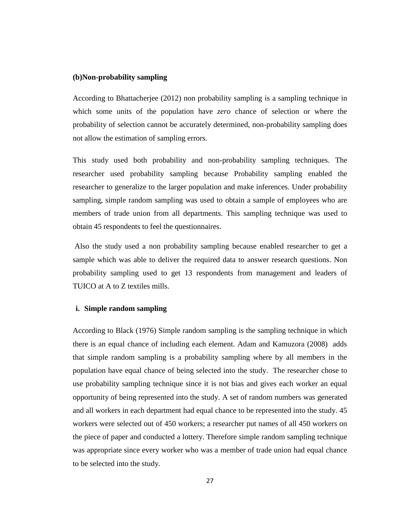#### **(b)Non-probability sampling**

According to Bhattacherjee (2012) non probability sampling is a sampling technique in which some units of the population have *zero* chance of selection or where the probability of selection cannot be accurately determined, non-probability sampling does not allow the estimation of sampling errors.

This study used both probability and non-probability sampling techniques. The researcher used probability sampling because Probability sampling enabled the researcher to generalize to the larger population and make inferences. Under probability sampling, simple random sampling was used to obtain a sample of employees who are members of trade union from all departments. This sampling technique was used to obtain 45 respondents to feel the questionnaires.

Also the study used a non probability sampling because enabled researcher to get a sample which was able to deliver the required data to answer research questions. Non probability sampling used to get 13 respondents from management and leaders of TUICO at A to Z textiles mills.

## **i. Simple random sampling**

According to Black (1976) Simple random sampling is the sampling technique in which there is an equal chance of including each element. Adam and Kamuzora (2008) adds that simple random sampling is a probability sampling where by all members in the population have equal chance of being selected into the study. The researcher chose to use probability sampling technique since it is not bias and gives each worker an equal opportunity of being represented into the study. A set of random numbers was generated and all workers in each department had equal chance to be represented into the study. 45 workers were selected out of 450 workers; a researcher put names of all 450 workers on the piece of paper and conducted a lottery. Therefore simple random sampling technique was appropriate since every worker who was a member of trade union had equal chance to be selected into the study.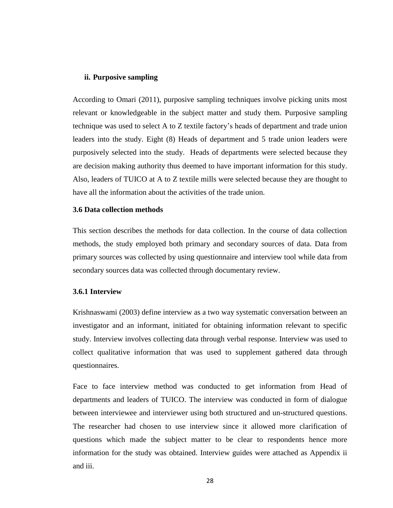## **ii. Purposive sampling**

According to Omari (2011), purposive sampling techniques involve picking units most relevant or knowledgeable in the subject matter and study them. Purposive sampling technique was used to select A to Z textile factory's heads of department and trade union leaders into the study. Eight (8) Heads of department and 5 trade union leaders were purposively selected into the study. Heads of departments were selected because they are decision making authority thus deemed to have important information for this study. Also, leaders of TUICO at A to Z textile mills were selected because they are thought to have all the information about the activities of the trade union.

## **3.6 Data collection methods**

This section describes the methods for data collection. In the course of data collection methods, the study employed both primary and secondary sources of data. Data from primary sources was collected by using questionnaire and interview tool while data from secondary sources data was collected through documentary review.

## **3.6.1 Interview**

Krishnaswami (2003) define interview as a two way systematic conversation between an investigator and an informant, initiated for obtaining information relevant to specific study. Interview involves collecting data through verbal response. Interview was used to collect qualitative information that was used to supplement gathered data through questionnaires.

Face to face interview method was conducted to get information from Head of departments and leaders of TUICO. The interview was conducted in form of dialogue between interviewee and interviewer using both structured and un-structured questions. The researcher had chosen to use interview since it allowed more clarification of questions which made the subject matter to be clear to respondents hence more information for the study was obtained. Interview guides were attached as Appendix ii and iii.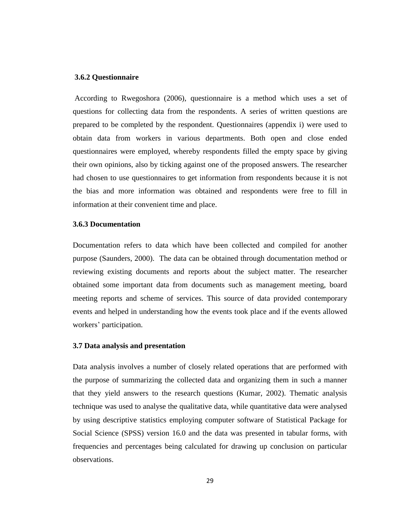## **3.6.2 Questionnaire**

According to Rwegoshora (2006), questionnaire is a method which uses a set of questions for collecting data from the respondents. A series of written questions are prepared to be completed by the respondent. Questionnaires (appendix i) were used to obtain data from workers in various departments. Both open and close ended questionnaires were employed, whereby respondents filled the empty space by giving their own opinions, also by ticking against one of the proposed answers. The researcher had chosen to use questionnaires to get information from respondents because it is not the bias and more information was obtained and respondents were free to fill in information at their convenient time and place.

## **3.6.3 Documentation**

Documentation refers to data which have been collected and compiled for another purpose (Saunders, 2000). The data can be obtained through documentation method or reviewing existing documents and reports about the subject matter. The researcher obtained some important data from documents such as management meeting, board meeting reports and scheme of services. This source of data provided contemporary events and helped in understanding how the events took place and if the events allowed workers' participation.

## **3.7 Data analysis and presentation**

Data analysis involves a number of closely related operations that are performed with the purpose of summarizing the collected data and organizing them in such a manner that they yield answers to the research questions (Kumar, 2002). Thematic analysis technique was used to analyse the qualitative data, while quantitative data were analysed by using descriptive statistics employing computer software of Statistical Package for Social Science (SPSS) version 16.0 and the data was presented in tabular forms, with frequencies and percentages being calculated for drawing up conclusion on particular observations.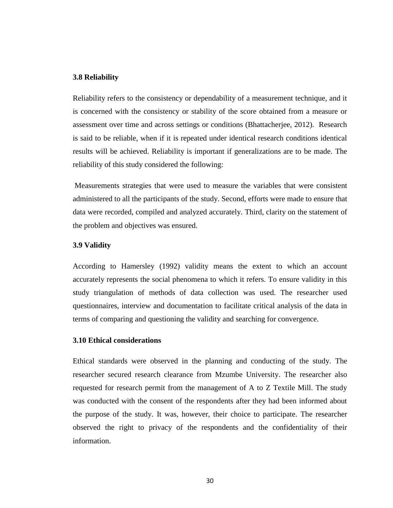# **3.8 Reliability**

Reliability refers to the consistency or dependability of a measurement technique, and it is concerned with the consistency or stability of the score obtained from a measure or assessment over time and across settings or conditions (Bhattacherjee, 2012). Research is said to be reliable, when if it is repeated under identical research conditions identical results will be achieved. Reliability is important if generalizations are to be made. The reliability of this study considered the following:

Measurements strategies that were used to measure the variables that were consistent administered to all the participants of the study. Second, efforts were made to ensure that data were recorded, compiled and analyzed accurately. Third, clarity on the statement of the problem and objectives was ensured.

# **3.9 Validity**

According to Hamersley (1992) validity means the extent to which an account accurately represents the social phenomena to which it refers. To ensure validity in this study triangulation of methods of data collection was used. The researcher used questionnaires, interview and documentation to facilitate critical analysis of the data in terms of comparing and questioning the validity and searching for convergence.

## **3.10 Ethical considerations**

Ethical standards were observed in the planning and conducting of the study. The researcher secured research clearance from Mzumbe University. The researcher also requested for research permit from the management of A to Z Textile Mill. The study was conducted with the consent of the respondents after they had been informed about the purpose of the study. It was, however, their choice to participate. The researcher observed the right to privacy of the respondents and the confidentiality of their information.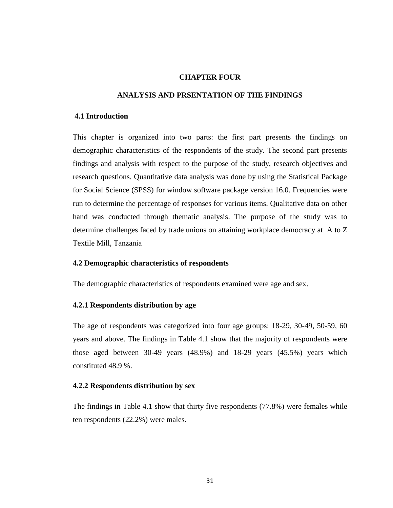# **CHAPTER FOUR**

# **ANALYSIS AND PRSENTATION OF THE FINDINGS**

# **4.1 Introduction**

This chapter is organized into two parts: the first part presents the findings on demographic characteristics of the respondents of the study. The second part presents findings and analysis with respect to the purpose of the study, research objectives and research questions. Quantitative data analysis was done by using the Statistical Package for Social Science (SPSS) for window software package version 16.0. Frequencies were run to determine the percentage of responses for various items. Qualitative data on other hand was conducted through thematic analysis. The purpose of the study was to determine challenges faced by trade unions on attaining workplace democracy at A to Z Textile Mill, Tanzania

## **4.2 Demographic characteristics of respondents**

The demographic characteristics of respondents examined were age and sex.

## **4.2.1 Respondents distribution by age**

The age of respondents was categorized into four age groups: 18-29, 30-49, 50-59, 60 years and above. The findings in Table 4.1 show that the majority of respondents were those aged between 30-49 years (48.9%) and 18-29 years (45.5%) years which constituted 48.9 %.

# **4.2.2 Respondents distribution by sex**

The findings in Table 4.1 show that thirty five respondents (77.8%) were females while ten respondents (22.2%) were males.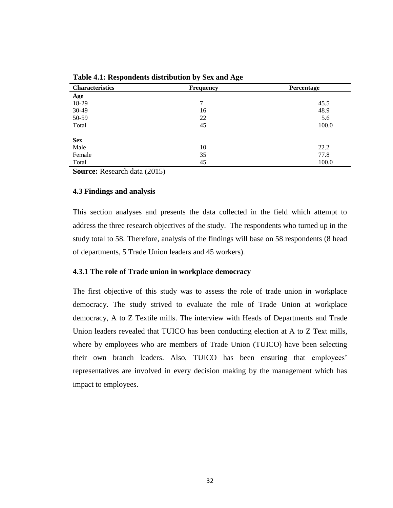| <b>Characteristics</b> | <b>Frequency</b> | Percentage |  |  |
|------------------------|------------------|------------|--|--|
| Age                    |                  |            |  |  |
| 18-29                  | 7                | 45.5       |  |  |
| 30-49                  | 16               | 48.9       |  |  |
| 50-59                  | 22               | 5.6        |  |  |
| Total                  | 45               | 100.0      |  |  |
| <b>Sex</b>             |                  |            |  |  |
| Male                   | 10               | 22.2       |  |  |
| Female                 | 35               | 77.8       |  |  |
| Total                  | 45               | 100.0      |  |  |

**Table 4.1: Respondents distribution by Sex and Age**

**Source:** Research data (2015)

## **4.3 Findings and analysis**

This section analyses and presents the data collected in the field which attempt to address the three research objectives of the study. The respondents who turned up in the study total to 58. Therefore, analysis of the findings will base on 58 respondents (8 head of departments, 5 Trade Union leaders and 45 workers).

# **4.3.1 The role of Trade union in workplace democracy**

The first objective of this study was to assess the role of trade union in workplace democracy. The study strived to evaluate the role of Trade Union at workplace democracy, A to Z Textile mills. The interview with Heads of Departments and Trade Union leaders revealed that TUICO has been conducting election at A to Z Text mills, where by employees who are members of Trade Union (TUICO) have been selecting their own branch leaders. Also, TUICO has been ensuring that employees' representatives are involved in every decision making by the management which has impact to employees.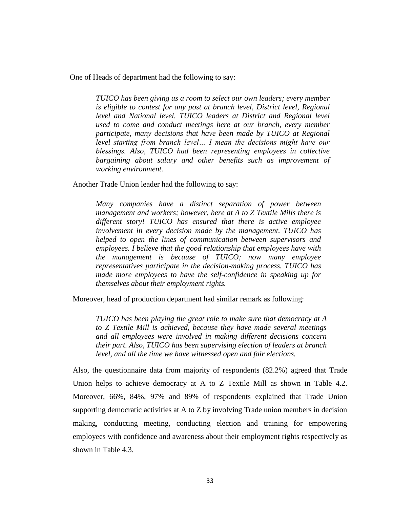One of Heads of department had the following to say:

*TUICO has been giving us a room to select our own leaders; every member is eligible to contest for any post at branch level, District level, Regional level and National level. TUICO leaders at District and Regional level used to come and conduct meetings here at our branch, every member participate, many decisions that have been made by TUICO at Regional level starting from branch level… I mean the decisions might have our blessings. Also, TUICO had been representing employees in collective bargaining about salary and other benefits such as improvement of working environment.* 

Another Trade Union leader had the following to say:

*Many companies have a distinct separation of power between management and workers; however, here at A to Z Textile Mills there is different story! TUICO has ensured that there is active employee involvement in every decision made by the management. TUICO has helped to open the lines of communication between supervisors and employees. I believe that the good relationship that employees have with the management is because of TUICO; now many employee representatives participate in the decision-making process. TUICO has made more employees to have the self-confidence in speaking up for themselves about their employment rights.* 

Moreover, head of production department had similar remark as following:

*TUICO has been playing the great role to make sure that democracy at A to Z Textile Mill is achieved, because they have made several meetings and all employees were involved in making different decisions concern their part. Also, TUICO has been supervising election of leaders at branch level, and all the time we have witnessed open and fair elections.* 

Also, the questionnaire data from majority of respondents (82.2%) agreed that Trade Union helps to achieve democracy at A to Z Textile Mill as shown in Table 4.2. Moreover, 66%, 84%, 97% and 89% of respondents explained that Trade Union supporting democratic activities at A to Z by involving Trade union members in decision making, conducting meeting, conducting election and training for empowering employees with confidence and awareness about their employment rights respectively as shown in Table 4.3.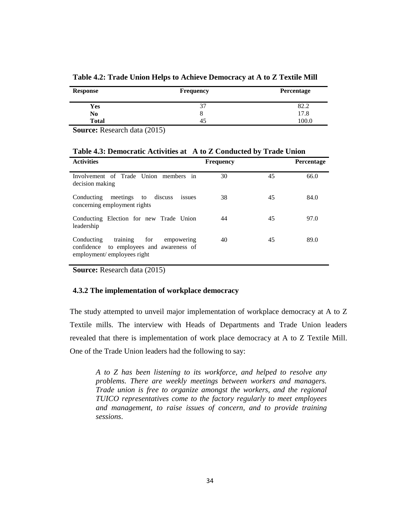| <b>Response</b> | <b>Frequency</b> | Percentage |
|-----------------|------------------|------------|
| Yes             | 37               | 82.2       |
| No              | Õ                | 17.8       |
| <b>Total</b>    | 45               | 100.0      |

**Table 4.2: Trade Union Helps to Achieve Democracy at A to Z Textile Mill**

**Source:** Research data (2015)

| <b>Activities</b>                                                                                                        | <b>Frequency</b> |    | <b>Percentage</b> |
|--------------------------------------------------------------------------------------------------------------------------|------------------|----|-------------------|
| Involvement of Trade Union members in<br>decision making                                                                 | 30               | 45 | 66.0              |
| meetings<br>Conducting<br>discuss<br>to<br>issues<br>concerning employment rights                                        | 38               | 45 | 84.0              |
| Conducting Election for new Trade Union<br>leadership                                                                    | 44               | 45 | 97.0              |
| training<br>for<br>Conducting<br>empowering<br>to employees and awareness of<br>confidence<br>employment/employees right | 40               | 45 | 89.0              |

**Source:** Research data (2015)

# **4.3.2 The implementation of workplace democracy**

The study attempted to unveil major implementation of workplace democracy at A to Z Textile mills. The interview with Heads of Departments and Trade Union leaders revealed that there is implementation of work place democracy at A to Z Textile Mill. One of the Trade Union leaders had the following to say:

*A to Z has been listening to its workforce, and helped to resolve any problems. There are weekly meetings between workers and managers. Trade union is free to organize amongst the workers, and the regional TUICO representatives come to the factory regularly to meet employees and management, to raise issues of concern, and to provide training sessions*.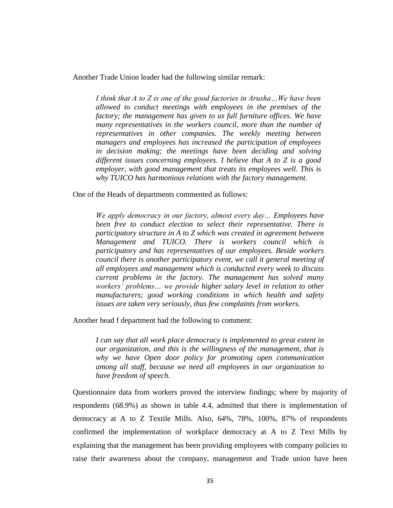Another Trade Union leader had the following similar remark:

*I think that A to Z is one of the good factories in Arusha…We have been allowed to conduct meetings with employees in the premises of the factory; the management has given to us full furniture offices. We have many representatives in the workers council, more than the number of representatives in other companies. The weekly meeting between managers and employees has increased the participation of employees in decision making; the meetings have been deciding and solving different issues concerning employees. I believe that A to Z is a good employer, with good management that treats its employees well. This is why TUICO has harmonious relations with the factory management.*

One of the Heads of departments commented as follows:

*We apply democracy in our factory, almost every day… Employees have been free to conduct election to select their representative. There is participatory structure in A to Z which was created in agreement between Management and TUICO. There is workers council which is participatory and has representatives of our employees. Beside workers council there is another participatory event, we call it general meeting of all employees and management which is conducted every week to discuss current problems in the factory. The management has solved many workers' problems… we provide higher salary level in relation to other manufacturers; good working conditions in which health and safety issues are taken very seriously, thus few complaints from workers.*

Another head f department had the following to comment:

*I can say that all work place democracy is implemented to great extent in our organization, and this is the willingness of the management, that is why we have Open door policy for promoting open communication among all staff, because we need all employees in our organization to have freedom of speech.* 

Questionnaire data from workers proved the interview findings; where by majority of respondents (68.9%) as shown in table 4.4, admitted that there is implementation of democracy at A to Z Textile Mills. Also, 64%, 78%, 100%, 87% of respondents confirmed the implementation of workplace democracy at A to Z Text Mills by explaining that the management has been providing employees with company policies to raise their awareness about the company, management and Trade union have been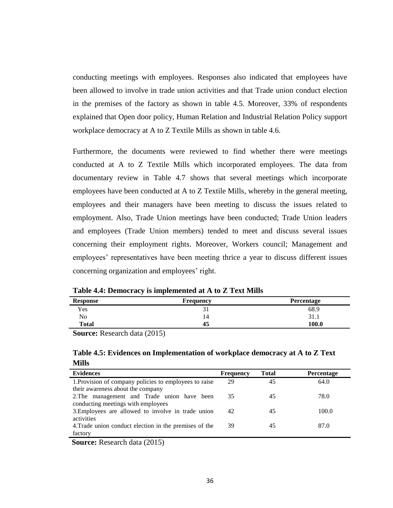conducting meetings with employees. Responses also indicated that employees have been allowed to involve in trade union activities and that Trade union conduct election in the premises of the factory as shown in table 4.5. Moreover, 33% of respondents explained that Open door policy, Human Relation and Industrial Relation Policy support workplace democracy at A to Z Textile Mills as shown in table 4.6.

Furthermore, the documents were reviewed to find whether there were meetings conducted at A to Z Textile Mills which incorporated employees. The data from documentary review in Table 4.7 shows that several meetings which incorporate employees have been conducted at A to Z Textile Mills, whereby in the general meeting, employees and their managers have been meeting to discuss the issues related to employment. Also, Trade Union meetings have been conducted; Trade Union leaders and employees (Trade Union members) tended to meet and discuss several issues concerning their employment rights. Moreover, Workers council; Management and employees' representatives have been meeting thrice a year to discuss different issues concerning organization and employees' right.

| <b>Response</b>      | Frequency | Percentage |
|----------------------|-----------|------------|
| $\mathbf{v}$<br>r es | ЭĪ        | 68.9       |
| <b>AT</b><br>No      | 14        | 31.1       |
| <b>Total</b>         | 45        | 100.0      |

**Table 4.4: Democracy is implemented at A to Z Text Mills**

**Source:** Research data (2015)

| Table 4.5: Evidences on Implementation of workplace democracy at A to Z Text |  |
|------------------------------------------------------------------------------|--|
| <b>Mills</b>                                                                 |  |

| <b>Frequency</b> | <b>Total</b> | Percentage |
|------------------|--------------|------------|
| 29               | 45           | 64.0       |
|                  |              |            |
| 35               | 45           | 78.0       |
|                  |              |            |
| 42               | 45           | 100.0      |
|                  |              |            |
| 39               | 45           | 87.0       |
|                  |              |            |
|                  |              |            |

**Source:** Research data (2015)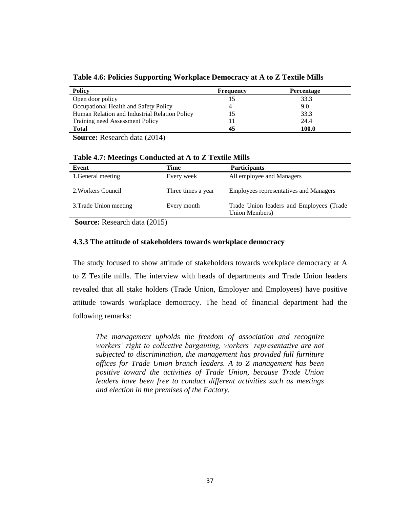| <b>Policy</b>                                               | Frequency | <b>Percentage</b> |
|-------------------------------------------------------------|-----------|-------------------|
| Open door policy                                            |           | 33.3              |
| Occupational Health and Safety Policy                       |           | 9.0               |
| Human Relation and Industrial Relation Policy               |           | 33.3              |
| Training need Assessment Policy                             |           | 24.4              |
| <b>Total</b>                                                | 45        | 100.0             |
| $\sim$ $\sim$<br>.<br>$\sim$ $\sim$ $\sim$ $\sim$<br>$\sim$ |           |                   |

**Table 4.6: Policies Supporting Workplace Democracy at A to Z Textile Mills**

**Source:** Research data (2014)

# **Table 4.7: Meetings Conducted at A to Z Textile Mills**

| Event                  | Time               | <b>Participants</b>                                        |
|------------------------|--------------------|------------------------------------------------------------|
| 1. General meeting     | Every week         | All employee and Managers                                  |
| 2. Workers Council     | Three times a year | <b>Employees representatives and Managers</b>              |
| 3. Trade Union meeting | Every month        | Trade Union leaders and Employees (Trade<br>Union Members) |

**Source:** Research data (2015)

# **4.3.3 The attitude of stakeholders towards workplace democracy**

The study focused to show attitude of stakeholders towards workplace democracy at A to Z Textile mills. The interview with heads of departments and Trade Union leaders revealed that all stake holders (Trade Union, Employer and Employees) have positive attitude towards workplace democracy. The head of financial department had the following remarks:

*The management upholds the freedom of association and recognize workers' right to collective bargaining, workers' representative are not subjected to discrimination, the management has provided full furniture offices for Trade Union branch leaders. A to Z management has been positive toward the activities of Trade Union, because Trade Union leaders have been free to conduct different activities such as meetings and election in the premises of the Factory.*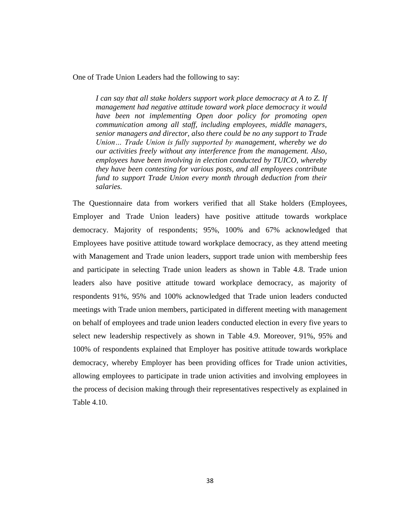One of Trade Union Leaders had the following to say:

*I can say that all stake holders support work place democracy at A to Z. If management had negative attitude toward work place democracy it would have been not implementing Open door policy for promoting open communication among all staff, including employees, middle managers, senior managers and director, also there could be no any support to Trade Union… Trade Union is fully supported by management, whereby we do our activities freely without any interference from the management. Also, employees have been involving in election conducted by TUICO, whereby they have been contesting for various posts, and all employees contribute fund to support Trade Union every month through deduction from their salaries.*

The Questionnaire data from workers verified that all Stake holders (Employees, Employer and Trade Union leaders) have positive attitude towards workplace democracy. Majority of respondents; 95%, 100% and 67% acknowledged that Employees have positive attitude toward workplace democracy, as they attend meeting with Management and Trade union leaders, support trade union with membership fees and participate in selecting Trade union leaders as shown in Table 4.8. Trade union leaders also have positive attitude toward workplace democracy, as majority of respondents 91%, 95% and 100% acknowledged that Trade union leaders conducted meetings with Trade union members, participated in different meeting with management on behalf of employees and trade union leaders conducted election in every five years to select new leadership respectively as shown in Table 4.9. Moreover, 91%, 95% and 100% of respondents explained that Employer has positive attitude towards workplace democracy, whereby Employer has been providing offices for Trade union activities, allowing employees to participate in trade union activities and involving employees in the process of decision making through their representatives respectively as explained in Table 4.10.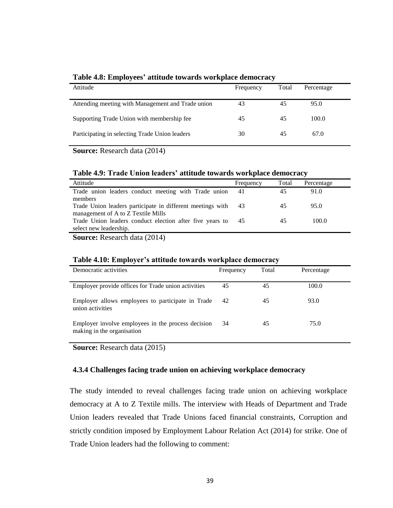| Attitude                                          | Frequency | Total | Percentage |
|---------------------------------------------------|-----------|-------|------------|
| Attending meeting with Management and Trade union | 43        | 45    | 95.0       |
| Supporting Trade Union with membership fee        | 45        | 45    | 100.0      |
| Participating in selecting Trade Union leaders    | 30        | 45    | 67.0       |

## **Table 4.8: Employees' attitude towards workplace democracy**

**Source:** Research data (2014)

## **Table 4.9: Trade Union leaders' attitude towards workplace democracy**

| Attitude                                                   | Frequency | Total | Percentage |  |
|------------------------------------------------------------|-----------|-------|------------|--|
| Trade union leaders conduct meeting with Trade union       | 41        | 45    | 91.0       |  |
| members                                                    |           |       |            |  |
| Trade Union leaders participate in different meetings with | 43        | 45    | 95.0       |  |
| management of A to Z Textile Mills                         |           |       |            |  |
| Trade Union leaders conduct election after five years to   | 45        | 45    | 100.0      |  |
| select new leadership.                                     |           |       |            |  |

**Source:** Research data (2014)

| Table 4.10; Employer's attitude towards workplace democracy                      |           |       |            |  |  |
|----------------------------------------------------------------------------------|-----------|-------|------------|--|--|
| Democratic activities                                                            | Frequency | Total | Percentage |  |  |
| Employer provide offices for Trade union activities                              | 45        | 45    | 100.0      |  |  |
| Employer allows employees to participate in Trade<br>union activities            | 42        | 45    | 93.0       |  |  |
| Employer involve employees in the process decision<br>making in the organisation | 34        | 45    | 75.0       |  |  |

# **Table 4.10: Employer's attitude towards workplace democracy**

**Source:** Research data (2015)

# **4.3.4 Challenges facing trade union on achieving workplace democracy**

The study intended to reveal challenges facing trade union on achieving workplace democracy at A to Z Textile mills. The interview with Heads of Department and Trade Union leaders revealed that Trade Unions faced financial constraints, Corruption and strictly condition imposed by Employment Labour Relation Act (2014) for strike. One of Trade Union leaders had the following to comment: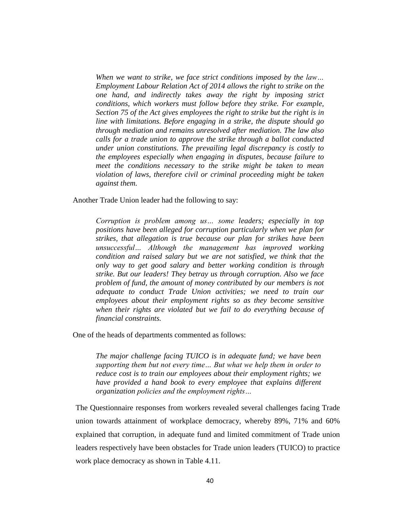*When we want to strike, we face strict conditions imposed by the law… Employment Labour Relation Act of 2014 allows the right to strike on the one hand, and indirectly takes away the right by imposing strict conditions, which workers must follow before they strike. For example, Section 75 of the Act gives employees the right to strike but the right is in line with limitations. Before engaging in a strike, the dispute should go through mediation and remains unresolved after mediation. The law also calls for a trade union to approve the strike through a ballot conducted under union constitutions. The prevailing legal discrepancy is costly to the employees especially when engaging in disputes, because failure to meet the conditions necessary to the strike might be taken to mean violation of laws, therefore civil or criminal proceeding might be taken against them.* 

Another Trade Union leader had the following to say:

*Corruption is problem among us… some leaders; especially in top positions have been alleged for corruption particularly when we plan for strikes, that allegation is true because our plan for strikes have been unsuccessful… Although the management has improved working condition and raised salary but we are not satisfied, we think that the only way to get good salary and better working condition is through strike. But our leaders! They betray us through corruption. Also we face problem of fund, the amount of money contributed by our members is not adequate to conduct Trade Union activities; we need to train our employees about their employment rights so as they become sensitive when their rights are violated but we fail to do everything because of financial constraints.* 

One of the heads of departments commented as follows:

*The major challenge facing TUICO is in adequate fund; we have been supporting them but not every time… But what we help them in order to reduce cost is to train our employees about their employment rights; we have provided a hand book to every employee that explains different organization policies and the employment rights…*

The Questionnaire responses from workers revealed several challenges facing Trade union towards attainment of workplace democracy, whereby 89%, 71% and 60% explained that corruption, in adequate fund and limited commitment of Trade union leaders respectively have been obstacles for Trade union leaders (TUICO) to practice work place democracy as shown in Table 4.11.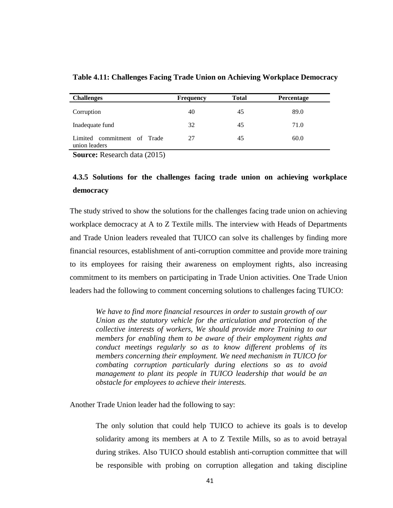| <b>Challenges</b>                            | <b>Frequency</b> | Total | Percentage |
|----------------------------------------------|------------------|-------|------------|
| Corruption                                   | 40               | 45    | 89.0       |
| Inadequate fund                              | 32               | 45    | 71.0       |
| Limited commitment of Trade<br>union leaders | 27               | 45    | 60.0       |

**Table 4.11: Challenges Facing Trade Union on Achieving Workplace Democracy** 

**Source:** Research data (2015)

# **4.3.5 Solutions for the challenges facing trade union on achieving workplace democracy**

The study strived to show the solutions for the challenges facing trade union on achieving workplace democracy at A to Z Textile mills. The interview with Heads of Departments and Trade Union leaders revealed that TUICO can solve its challenges by finding more financial resources, establishment of anti-corruption committee and provide more training to its employees for raising their awareness on employment rights, also increasing commitment to its members on participating in Trade Union activities. One Trade Union leaders had the following to comment concerning solutions to challenges facing TUICO:

*We have to find more financial resources in order to sustain growth of our Union as the statutory vehicle for the articulation and protection of the collective interests of workers, We should provide more Training to our members for enabling them to be aware of their employment rights and conduct meetings regularly so as to know different problems of its members concerning their employment. We need mechanism in TUICO for combating corruption particularly during elections so as to avoid management to plant its people in TUICO leadership that would be an obstacle for employees to achieve their interests.*

Another Trade Union leader had the following to say:

The only solution that could help TUICO to achieve its goals is to develop solidarity among its members at A to Z Textile Mills, so as to avoid betrayal during strikes. Also TUICO should establish anti-corruption committee that will be responsible with probing on corruption allegation and taking discipline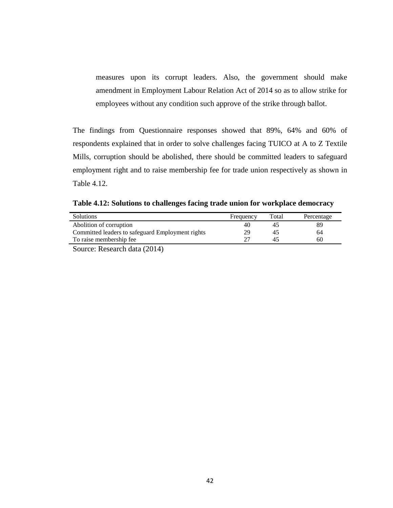measures upon its corrupt leaders. Also, the government should make amendment in Employment Labour Relation Act of 2014 so as to allow strike for employees without any condition such approve of the strike through ballot.

The findings from Questionnaire responses showed that 89%, 64% and 60% of respondents explained that in order to solve challenges facing TUICO at A to Z Textile Mills, corruption should be abolished, there should be committed leaders to safeguard employment right and to raise membership fee for trade union respectively as shown in Table 4.12.

**Table 4.12: Solutions to challenges facing trade union for workplace democracy** 

| Solutions                                                                                                                                                                                                                                                                                                                                                                                                                                                                                                                        | Frequency | Total | Percentage |
|----------------------------------------------------------------------------------------------------------------------------------------------------------------------------------------------------------------------------------------------------------------------------------------------------------------------------------------------------------------------------------------------------------------------------------------------------------------------------------------------------------------------------------|-----------|-------|------------|
| Abolition of corruption                                                                                                                                                                                                                                                                                                                                                                                                                                                                                                          | 40        |       |            |
| Committed leaders to safeguard Employment rights                                                                                                                                                                                                                                                                                                                                                                                                                                                                                 | 29        | 43    | 64         |
| To raise membership fee                                                                                                                                                                                                                                                                                                                                                                                                                                                                                                          | າາ        |       | 60         |
| $\sim$<br>$\blacksquare$ $\blacksquare$ $\blacksquare$ $\blacksquare$ $\blacksquare$ $\blacksquare$ $\blacksquare$ $\blacksquare$ $\blacksquare$ $\blacksquare$ $\blacksquare$ $\blacksquare$ $\blacksquare$ $\blacksquare$ $\blacksquare$ $\blacksquare$ $\blacksquare$ $\blacksquare$ $\blacksquare$ $\blacksquare$ $\blacksquare$ $\blacksquare$ $\blacksquare$ $\blacksquare$ $\blacksquare$ $\blacksquare$ $\blacksquare$ $\blacksquare$ $\blacksquare$ $\blacksquare$ $\blacksquare$ $\blacks$<br>$\overline{\phantom{a}}$ |           |       |            |

Source: Research data (2014)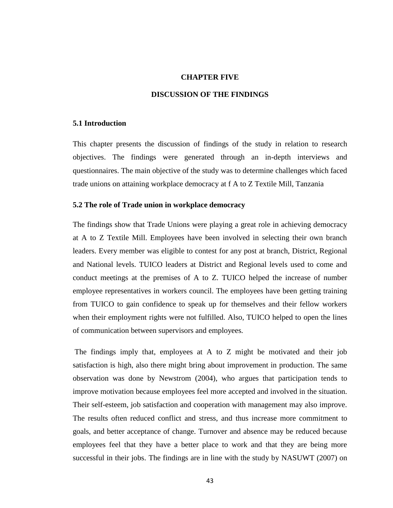## **CHAPTER FIVE**

## **DISCUSSION OF THE FINDINGS**

## **5.1 Introduction**

This chapter presents the discussion of findings of the study in relation to research objectives. The findings were generated through an in-depth interviews and questionnaires. The main objective of the study was to determine challenges which faced trade unions on attaining workplace democracy at f A to Z Textile Mill, Tanzania

## **5.2 The role of Trade union in workplace democracy**

The findings show that Trade Unions were playing a great role in achieving democracy at A to Z Textile Mill. Employees have been involved in selecting their own branch leaders. Every member was eligible to contest for any post at branch, District, Regional and National levels. TUICO leaders at District and Regional levels used to come and conduct meetings at the premises of A to Z. TUICO helped the increase of number employee representatives in workers council. The employees have been getting training from TUICO to gain confidence to speak up for themselves and their fellow workers when their employment rights were not fulfilled. Also, TUICO helped to open the lines of communication between supervisors and employees*.* 

The findings imply that, employees at A to Z might be motivated and their job satisfaction is high, also there might bring about improvement in production. The same observation was done by Newstrom (2004), who argues that participation tends to improve motivation because employees feel more accepted and involved in the situation. Their self-esteem, job satisfaction and cooperation with management may also improve. The results often reduced conflict and stress, and thus increase more commitment to goals, and better acceptance of change. Turnover and absence may be reduced because employees feel that they have a better place to work and that they are being more successful in their jobs. The findings are in line with the study by NASUWT (2007) on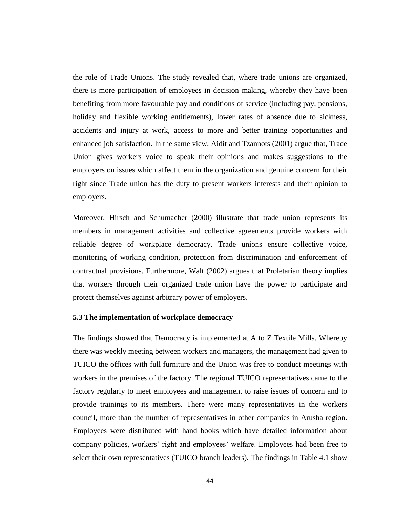the role of Trade Unions. The study revealed that, where trade unions are organized, there is more participation of employees in decision making, whereby they have been benefiting from more favourable pay and conditions of service (including pay, pensions, holiday and flexible working entitlements), lower rates of absence due to sickness, accidents and injury at work, access to more and better training opportunities and enhanced job satisfaction. In the same view, Aidit and Tzannots (2001) argue that, Trade Union gives workers voice to speak their opinions and makes suggestions to the employers on issues which affect them in the organization and genuine concern for their right since Trade union has the duty to present workers interests and their opinion to employers.

Moreover, Hirsch and Schumacher (2000) illustrate that trade union represents its members in management activities and collective agreements provide workers with reliable degree of workplace democracy. Trade unions ensure collective voice, monitoring of working condition, protection from discrimination and enforcement of contractual provisions. Furthermore, Walt (2002) argues that Proletarian theory implies that workers through their organized trade union have the power to participate and protect themselves against arbitrary power of employers.

# **5.3 The implementation of workplace democracy**

The findings showed that Democracy is implemented at A to Z Textile Mills. Whereby there was weekly meeting between workers and managers, the management had given to TUICO the offices with full furniture and the Union was free to conduct meetings with workers in the premises of the factory. The regional TUICO representatives came to the factory regularly to meet employees and management to raise issues of concern and to provide trainings to its members. There were many representatives in the workers council, more than the number of representatives in other companies in Arusha region. Employees were distributed with hand books which have detailed information about company policies, workers' right and employees' welfare. Employees had been free to select their own representatives (TUICO branch leaders). The findings in Table 4.1 show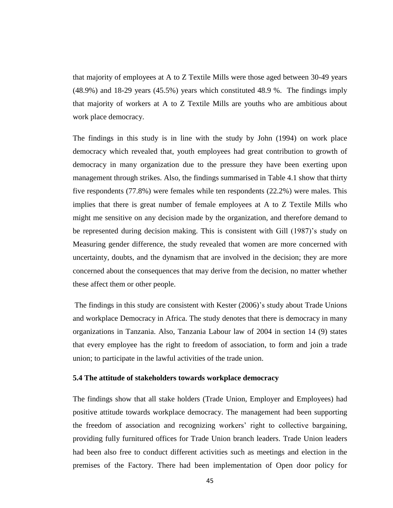that majority of employees at A to Z Textile Mills were those aged between 30-49 years (48.9%) and 18-29 years (45.5%) years which constituted 48.9 %. The findings imply that majority of workers at A to Z Textile Mills are youths who are ambitious about work place democracy.

The findings in this study is in line with the study by John (1994) on work place democracy which revealed that, youth employees had great contribution to growth of democracy in many organization due to the pressure they have been exerting upon management through strikes. Also, the findings summarised in Table 4.1 show that thirty five respondents (77.8%) were females while ten respondents (22.2%) were males. This implies that there is great number of female employees at A to Z Textile Mills who might me sensitive on any decision made by the organization, and therefore demand to be represented during decision making. This is consistent with Gill (1987)'s study on Measuring gender difference, the study revealed that women are more concerned with uncertainty, doubts, and the dynamism that are involved in the decision; they are more concerned about the consequences that may derive from the decision, no matter whether these affect them or other people.

The findings in this study are consistent with Kester (2006)'s study about Trade Unions and workplace Democracy in Africa. The study denotes that there is democracy in many organizations in Tanzania. Also, Tanzania Labour law of 2004 in section 14 (9) states that every employee has the right to freedom of association, to form and join a trade union; to participate in the lawful activities of the trade union.

## **5.4 The attitude of stakeholders towards workplace democracy**

The findings show that all stake holders (Trade Union, Employer and Employees) had positive attitude towards workplace democracy. The management had been supporting the freedom of association and recognizing workers' right to collective bargaining, providing fully furnitured offices for Trade Union branch leaders. Trade Union leaders had been also free to conduct different activities such as meetings and election in the premises of the Factory. There had been implementation of Open door policy for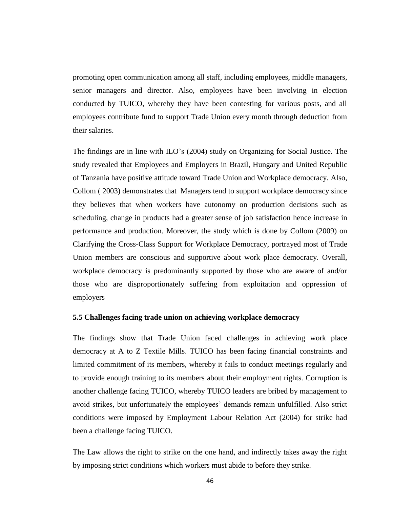promoting open communication among all staff, including employees, middle managers, senior managers and director. Also, employees have been involving in election conducted by TUICO, whereby they have been contesting for various posts, and all employees contribute fund to support Trade Union every month through deduction from their salaries.

The findings are in line with ILO's (2004) study on Organizing for Social Justice. The study revealed that Employees and Employers in Brazil, Hungary and United Republic of Tanzania have positive attitude toward Trade Union and Workplace democracy. Also, Collom ( 2003) demonstrates that Managers tend to support workplace democracy since they believes that when workers have autonomy on production decisions such as scheduling, change in products had a greater sense of job satisfaction hence increase in performance and production. Moreover, the study which is done by Collom (2009) on Clarifying the Cross-Class Support for Workplace Democracy, portrayed most of Trade Union members are conscious and supportive about work place democracy. Overall, workplace democracy is predominantly supported by those who are aware of and/or those who are disproportionately suffering from exploitation and oppression of employers

# **5.5 Challenges facing trade union on achieving workplace democracy**

The findings show that Trade Union faced challenges in achieving work place democracy at A to Z Textile Mills. TUICO has been facing financial constraints and limited commitment of its members, whereby it fails to conduct meetings regularly and to provide enough training to its members about their employment rights. Corruption is another challenge facing TUICO, whereby TUICO leaders are bribed by management to avoid strikes, but unfortunately the employees' demands remain unfulfilled. Also strict conditions were imposed by Employment Labour Relation Act (2004) for strike had been a challenge facing TUICO.

The Law allows the right to strike on the one hand, and indirectly takes away the right by imposing strict conditions which workers must abide to before they strike.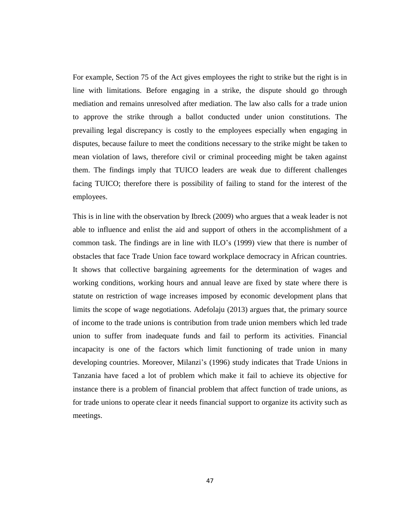For example, Section 75 of the Act gives employees the right to strike but the right is in line with limitations. Before engaging in a strike, the dispute should go through mediation and remains unresolved after mediation. The law also calls for a trade union to approve the strike through a ballot conducted under union constitutions. The prevailing legal discrepancy is costly to the employees especially when engaging in disputes, because failure to meet the conditions necessary to the strike might be taken to mean violation of laws, therefore civil or criminal proceeding might be taken against them. The findings imply that TUICO leaders are weak due to different challenges facing TUICO; therefore there is possibility of failing to stand for the interest of the employees.

This is in line with the observation by Ibreck (2009) who argues that a weak leader is not able to influence and enlist the aid and support of others in the accomplishment of a common task. The findings are in line with ILO's (1999) view that there is number of obstacles that face Trade Union face toward workplace democracy in African countries. It shows that collective bargaining agreements for the determination of wages and working conditions, working hours and annual leave are fixed by state where there is statute on restriction of wage increases imposed by economic development plans that limits the scope of wage negotiations. Adefolaju (2013) argues that, the primary source of income to the trade unions is contribution from trade union members which led trade union to suffer from inadequate funds and fail to perform its activities. Financial incapacity is one of the factors which limit functioning of trade union in many developing countries. Moreover, Milanzi's (1996) study indicates that Trade Unions in Tanzania have faced a lot of problem which make it fail to achieve its objective for instance there is a problem of financial problem that affect function of trade unions, as for trade unions to operate clear it needs financial support to organize its activity such as meetings.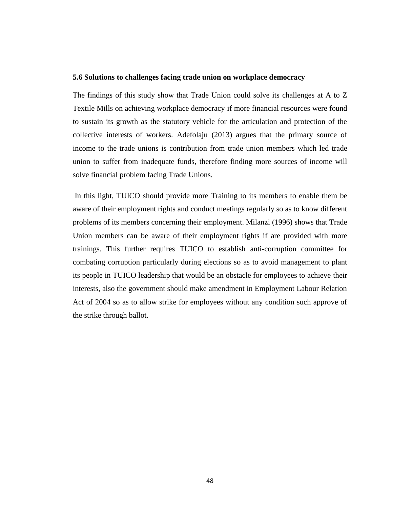## **5.6 Solutions to challenges facing trade union on workplace democracy**

The findings of this study show that Trade Union could solve its challenges at A to Z Textile Mills on achieving workplace democracy if more financial resources were found to sustain its growth as the statutory vehicle for the articulation and protection of the collective interests of workers. Adefolaju (2013) argues that the primary source of income to the trade unions is contribution from trade union members which led trade union to suffer from inadequate funds, therefore finding more sources of income will solve financial problem facing Trade Unions.

In this light, TUICO should provide more Training to its members to enable them be aware of their employment rights and conduct meetings regularly so as to know different problems of its members concerning their employment. Milanzi (1996) shows that Trade Union members can be aware of their employment rights if are provided with more trainings. This further requires TUICO to establish anti-corruption committee for combating corruption particularly during elections so as to avoid management to plant its people in TUICO leadership that would be an obstacle for employees to achieve their interests, also the government should make amendment in Employment Labour Relation Act of 2004 so as to allow strike for employees without any condition such approve of the strike through ballot.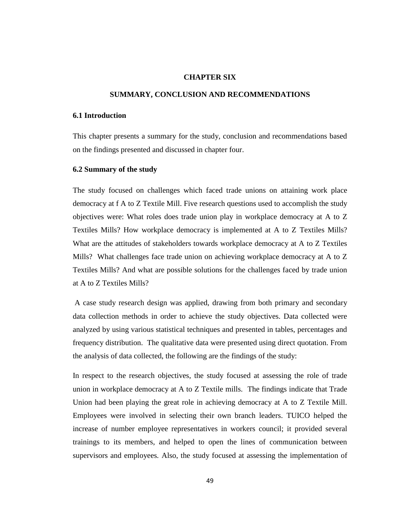## **CHAPTER SIX**

## **SUMMARY, CONCLUSION AND RECOMMENDATIONS**

## **6.1 Introduction**

This chapter presents a summary for the study, conclusion and recommendations based on the findings presented and discussed in chapter four.

## **6.2 Summary of the study**

The study focused on challenges which faced trade unions on attaining work place democracy at f A to Z Textile Mill. Five research questions used to accomplish the study objectives were: What roles does trade union play in workplace democracy at A to Z Textiles Mills? How workplace democracy is implemented at A to Z Textiles Mills? What are the attitudes of stakeholders towards workplace democracy at A to Z Textiles Mills? What challenges face trade union on achieving workplace democracy at A to Z Textiles Mills? And what are possible solutions for the challenges faced by trade union at A to Z Textiles Mills?

A case study research design was applied, drawing from both primary and secondary data collection methods in order to achieve the study objectives. Data collected were analyzed by using various statistical techniques and presented in tables, percentages and frequency distribution. The qualitative data were presented using direct quotation. From the analysis of data collected, the following are the findings of the study:

In respect to the research objectives, the study focused at assessing the role of trade union in workplace democracy at A to Z Textile mills. The findings indicate that Trade Union had been playing the great role in achieving democracy at A to Z Textile Mill. Employees were involved in selecting their own branch leaders. TUICO helped the increase of number employee representatives in workers council; it provided several trainings to its members, and helped to open the lines of communication between supervisors and employees*.* Also, the study focused at assessing the implementation of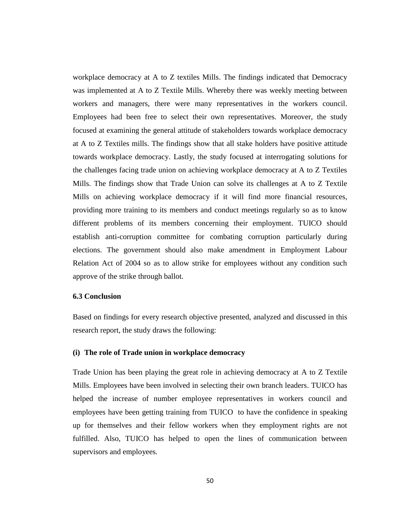workplace democracy at A to Z textiles Mills. The findings indicated that Democracy was implemented at A to Z Textile Mills. Whereby there was weekly meeting between workers and managers, there were many representatives in the workers council. Employees had been free to select their own representatives. Moreover, the study focused at examining the general attitude of stakeholders towards workplace democracy at A to Z Textiles mills. The findings show that all stake holders have positive attitude towards workplace democracy. Lastly, the study focused at interrogating solutions for the challenges facing trade union on achieving workplace democracy at A to Z Textiles Mills. The findings show that Trade Union can solve its challenges at A to Z Textile Mills on achieving workplace democracy if it will find more financial resources, providing more training to its members and conduct meetings regularly so as to know different problems of its members concerning their employment. TUICO should establish anti-corruption committee for combating corruption particularly during elections. The government should also make amendment in Employment Labour Relation Act of 2004 so as to allow strike for employees without any condition such approve of the strike through ballot.

# **6.3 Conclusion**

Based on findings for every research objective presented, analyzed and discussed in this research report, the study draws the following:

## **(i) The role of Trade union in workplace democracy**

Trade Union has been playing the great role in achieving democracy at A to Z Textile Mills. Employees have been involved in selecting their own branch leaders. TUICO has helped the increase of number employee representatives in workers council and employees have been getting training from TUICO to have the confidence in speaking up for themselves and their fellow workers when they employment rights are not fulfilled. Also, TUICO has helped to open the lines of communication between supervisors and employees*.*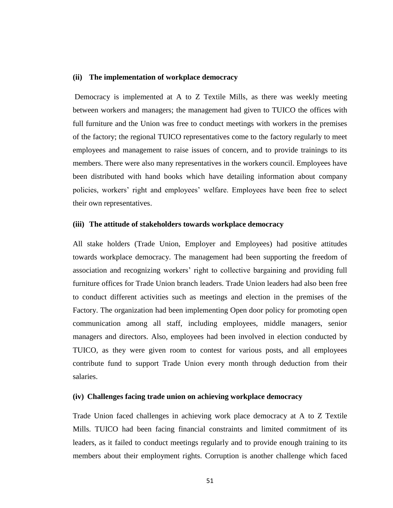#### **(ii) The implementation of workplace democracy**

Democracy is implemented at A to Z Textile Mills, as there was weekly meeting between workers and managers; the management had given to TUICO the offices with full furniture and the Union was free to conduct meetings with workers in the premises of the factory; the regional TUICO representatives come to the factory regularly to meet employees and management to raise issues of concern, and to provide trainings to its members. There were also many representatives in the workers council. Employees have been distributed with hand books which have detailing information about company policies, workers' right and employees' welfare. Employees have been free to select their own representatives.

## **(iii) The attitude of stakeholders towards workplace democracy**

All stake holders (Trade Union, Employer and Employees) had positive attitudes towards workplace democracy. The management had been supporting the freedom of association and recognizing workers' right to collective bargaining and providing full furniture offices for Trade Union branch leaders. Trade Union leaders had also been free to conduct different activities such as meetings and election in the premises of the Factory. The organization had been implementing Open door policy for promoting open communication among all staff, including employees, middle managers, senior managers and directors. Also, employees had been involved in election conducted by TUICO, as they were given room to contest for various posts, and all employees contribute fund to support Trade Union every month through deduction from their salaries.

## **(iv) Challenges facing trade union on achieving workplace democracy**

Trade Union faced challenges in achieving work place democracy at A to Z Textile Mills. TUICO had been facing financial constraints and limited commitment of its leaders, as it failed to conduct meetings regularly and to provide enough training to its members about their employment rights. Corruption is another challenge which faced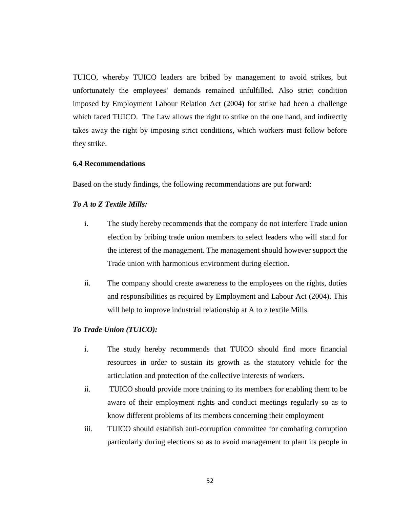TUICO, whereby TUICO leaders are bribed by management to avoid strikes, but unfortunately the employees' demands remained unfulfilled. Also strict condition imposed by Employment Labour Relation Act (2004) for strike had been a challenge which faced TUICO. The Law allows the right to strike on the one hand, and indirectly takes away the right by imposing strict conditions, which workers must follow before they strike.

## **6.4 Recommendations**

Based on the study findings, the following recommendations are put forward:

# *To A to Z Textile Mills:*

- i. The study hereby recommends that the company do not interfere Trade union election by bribing trade union members to select leaders who will stand for the interest of the management. The management should however support the Trade union with harmonious environment during election.
- ii. The company should create awareness to the employees on the rights, duties and responsibilities as required by Employment and Labour Act (2004). This will help to improve industrial relationship at A to z textile Mills.

## *To Trade Union (TUICO):*

- i. The study hereby recommends that TUICO should find more financial resources in order to sustain its growth as the statutory vehicle for the articulation and protection of the collective interests of workers.
- ii. TUICO should provide more training to its members for enabling them to be aware of their employment rights and conduct meetings regularly so as to know different problems of its members concerning their employment
- iii. TUICO should establish anti-corruption committee for combating corruption particularly during elections so as to avoid management to plant its people in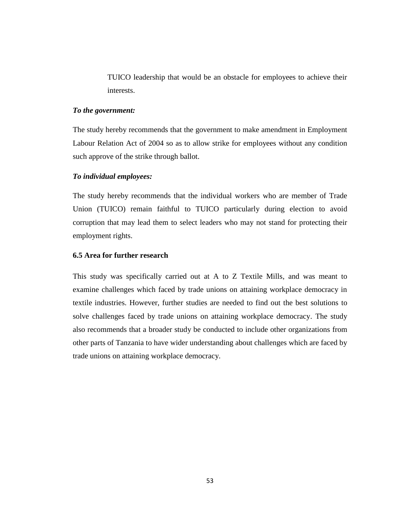TUICO leadership that would be an obstacle for employees to achieve their interests.

## *To the government:*

The study hereby recommends that the government to make amendment in Employment Labour Relation Act of 2004 so as to allow strike for employees without any condition such approve of the strike through ballot.

## *To individual employees:*

The study hereby recommends that the individual workers who are member of Trade Union (TUICO) remain faithful to TUICO particularly during election to avoid corruption that may lead them to select leaders who may not stand for protecting their employment rights.

## **6.5 Area for further research**

This study was specifically carried out at A to Z Textile Mills, and was meant to examine challenges which faced by trade unions on attaining workplace democracy in textile industries. However, further studies are needed to find out the best solutions to solve challenges faced by trade unions on attaining workplace democracy. The study also recommends that a broader study be conducted to include other organizations from other parts of Tanzania to have wider understanding about challenges which are faced by trade unions on attaining workplace democracy.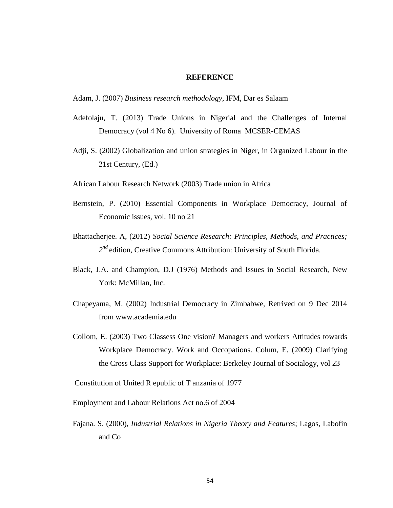## **REFERENCE**

Adam, J. (2007) *Business research methodology*, IFM, Dar es Salaam

- Adefolaju, T. (2013) Trade Unions in Nigerial and the Challenges of Internal Democracy (vol 4 No 6). University of Roma MCSER-CEMAS
- Adji, S. (2002) Globalization and union strategies in Niger, in Organized Labour in the 21st Century, (Ed.)
- African Labour Research Network (2003) Trade union in Africa
- Bernstein, P. (2010) Essential Components in Workplace Democracy, Journal of Economic issues, vol. 10 no 21
- Bhattacherjee. A, (2012) *Social Science Research: Principles, Methods, and Practices;*  2<sup>nd</sup> edition, Creative Commons Attribution: University of South Florida.
- Black, J.A. and Champion, D.J (1976) Methods and Issues in Social Research, New York: McMillan, Inc.
- Chapeyama, M. (2002) Industrial Democracy in Zimbabwe, Retrived on 9 Dec 2014 from [www.academia.edu](http://www.academia.edu/)
- Collom, E. (2003) Two Classess One vision? Managers and workers Attitudes towards Workplace Democracy. Work and Occopations. Colum, E. (2009) Clarifying the Cross Class Support for Workplace: Berkeley Journal of Socialogy, vol 23

Constitution of United R epublic of T anzania of 1977

Employment and Labour Relations Act no.6 of 2004

Fajana. S. (2000), *Industrial Relations in Nigeria Theory and Features*; Lagos, Labofin and Co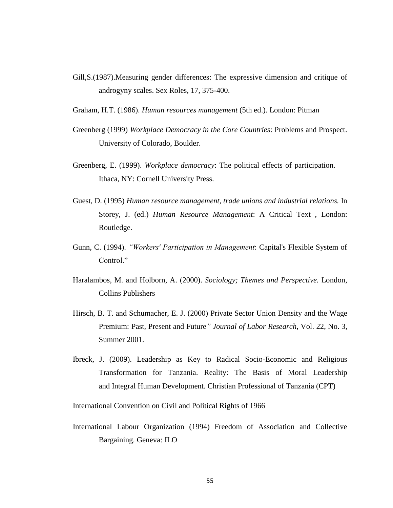- Gill,S.(1987).Measuring gender differences: The expressive dimension and critique of androgyny scales. Sex Roles, 17, 375-400.
- Graham, H.T. (1986). *Human resources management* (5th ed.). London: Pitman
- Greenberg (1999) *Workplace Democracy in the Core Countries*: Problems and Prospect. University of Colorado, Boulder.
- Greenberg, E. (1999). *Workplace democracy*: The political effects of participation. Ithaca, NY: Cornell University Press.
- Guest, D. (1995) *Human resource management*, *trade unions and industrial relations.* In Storey, J. (ed.) *Human Resource Management*: A Critical Text , London: Routledge.
- Gunn, C. (1994). *"Workers' Participation in Management*: Capital's Flexible System of Control."
- Haralambos, M. and Holborn, A. (2000). *Sociology; Themes and Perspective.* London, Collins Publishers
- Hirsch, B. T. and Schumacher, E. J. (2000) Private Sector Union Density and the Wage Premium: Past, Present and Future*" Journal of Labor Research*, Vol. 22, No. 3, Summer 2001.
- Ibreck, J. (2009). Leadership as Key to Radical Socio-Economic and Religious Transformation for Tanzania. Reality: The Basis of Moral Leadership and Integral Human Development. Christian Professional of Tanzania (CPT)

International Convention on Civil and Political Rights of 1966

International Labour Organization (1994) Freedom of Association and Collective Bargaining. Geneva: ILO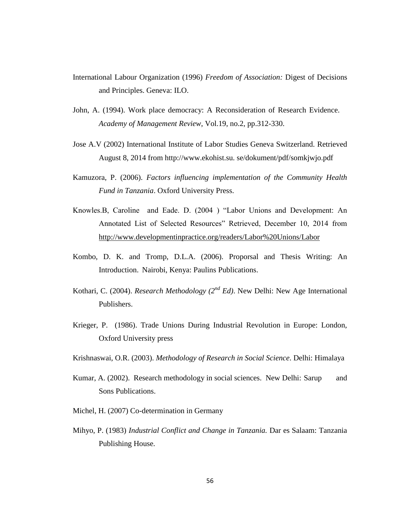- International Labour Organization (1996) *Freedom of Association:* Digest of Decisions and Principles. Geneva: ILO.
- John, A. (1994). Work place democracy: A Reconsideration of Research Evidence. *Academy of Management Review*, Vol.19, no.2, pp.312-330.
- Jose A.V (2002) International Institute of Labor Studies Geneva Switzerland. Retrieved August 8, 2014 from http://www.ekohist.su. se/dokument/pdf/somkjwjo.pdf
- Kamuzora, P. (2006). *Factors influencing implementation of the Community Health Fund in Tanzania*. Oxford University Press.
- Knowles.B, Caroline and Eade. D. (2004 ) "Labor Unions and Development: An Annotated List of Selected Resources" Retrieved, December 10, 2014 from <http://www.developmentinpractice.org/readers/Labor%20Unions/Labor>
- Kombo, D. K. and Tromp, D.L.A. (2006). Proporsal and Thesis Writing: An Introduction. Nairobi, Kenya: Paulins Publications.
- Kothari, C. (2004). *Research Methodology (2nd Ed)*. New Delhi: New Age International Publishers.
- Krieger, P. (1986). Trade Unions During Industrial Revolution in Europe: London, Oxford University press
- Krishnaswai, O.R. (2003). *Methodology of Research in Social Science*. Delhi: Himalaya
- Kumar, A. (2002). Research methodology in social sciences. New Delhi: Sarup and Sons Publications.
- Michel, H. (2007) Co-determination in Germany
- Mihyo, P. (1983) *Industrial Conflict and Change in Tanzania.* Dar es Salaam: Tanzania Publishing House.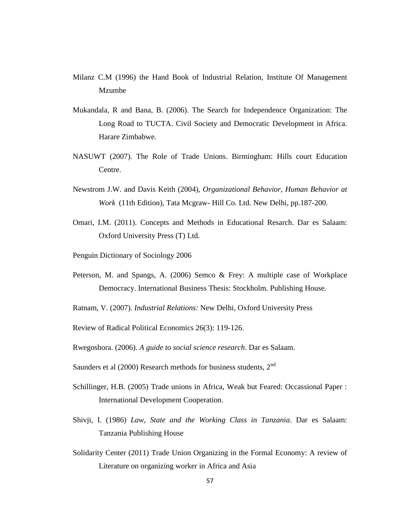- Milanz C.M (1996) the Hand Book of Industrial Relation, Institute Of Management Mzumbe
- Mukandala, R and Bana, B. (2006). The Search for Independence Organization: The Long Road to TUCTA. Civil Society and Democratic Development in Africa. Harare Zimbabwe.
- NASUWT (2007). The Role of Trade Unions. Birmingham: Hills court Education Centre.
- Newstrom J.W. and Davis Keith (2004), *Organizational Behavior, Human Behavior at Work* (11th Edition), Tata Mcgraw- Hill Co. Ltd. New Delhi, pp.187-200.
- Omari, I.M. (2011). Concepts and Methods in Educational Resarch. Dar es Salaam: Oxford University Press (T) Ltd.
- Penguin Dictionary of Sociology 2006
- Peterson, M. and Spangs, A. (2006) Semco & Frey: A multiple case of Workplace Democracy. International Business Thesis: Stockholm. Publishing House.

Ratnam, V. (2007). *Industrial Relations:* New Delhi, Oxford University Press

Review of Radical Political Economics 26(3): 119-126.

Rwegoshora. (2006). *A guide to social science research*. Dar es Salaam.

Saunders et al  $(2000)$  Research methods for business students,  $2<sup>nd</sup>$ 

- Schillinger, H.B. (2005) Trade unions in Africa, Weak but Feared: Occassional Paper : International Development Cooperation.
- Shivji, I. (1986) *Law, State and the Working Class in Tanzania*. Dar es Salaam: Tanzania Publishing House
- Solidarity Center (2011) Trade Union Organizing in the Formal Economy: A review of Literature on organizing worker in Africa and Asia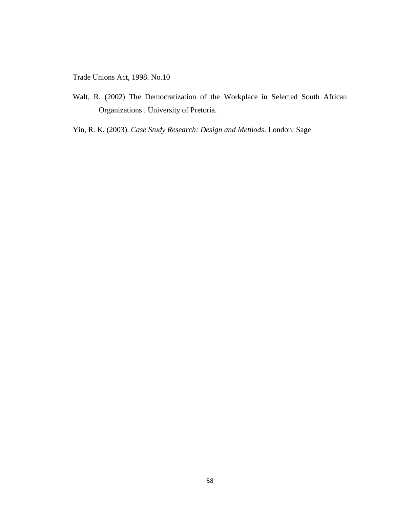Trade Unions Act, 1998. No.10

- Walt, R. (2002) The Democratization of the Workplace in Selected South African Organizations . University of Pretoria.
- Yin, R. K. (2003). *Case Study Research: Design and Methods*. London: Sage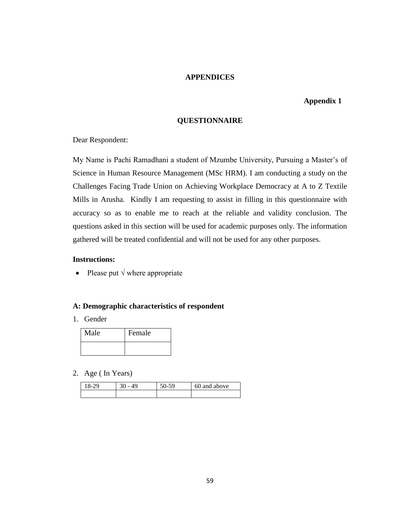#### **APPENDICES**

#### **Appendix 1**

#### **QUESTIONNAIRE**

Dear Respondent:

My Name is Pachi Ramadhani a student of Mzumbe University, Pursuing a Master's of Science in Human Resource Management (MSc HRM). I am conducting a study on the Challenges Facing Trade Union on Achieving Workplace Democracy at A to Z Textile Mills in Arusha. Kindly I am requesting to assist in filling in this questionnaire with accuracy so as to enable me to reach at the reliable and validity conclusion. The questions asked in this section will be used for academic purposes only. The information gathered will be treated confidential and will not be used for any other purposes.

### **Instructions:**

• Please put  $\sqrt{}$  where appropriate

#### **A: Demographic characteristics of respondent**

1. Gender

| Male | Female |
|------|--------|
|      |        |

2. Age ( In Years)

| $8-29$ | 49 | $\epsilon$ $\sim$<br>٦ч<br>$20 -$ | 60 and above |
|--------|----|-----------------------------------|--------------|
|        |    |                                   |              |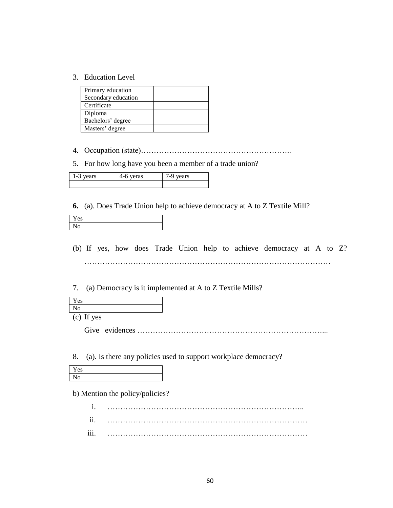3. Education Level

| Primary education   |  |
|---------------------|--|
| Secondary education |  |
| Certificate         |  |
| Diploma             |  |
| Bachelors' degree   |  |
| Masters' degree     |  |

- 4. Occupation (state)…………………………………………………..
- 5. For how long have you been a member of a trade union?

| ╭<br>arc.<br>eras<br>د-<br>ັ |  | −<br>ars. |
|------------------------------|--|-----------|
|                              |  |           |

**6.** (a). Does Trade Union help to achieve democracy at A to Z Textile Mill?

| Y es |  |
|------|--|
| 0    |  |

- (b) If yes, how does Trade Union help to achieve democracy at A to Z? ……………………………………………………………………………………
- 7. (a) Democracy is it implemented at A to Z Textile Mills?

| <b>Yes</b>   |  |
|--------------|--|
| ١U           |  |
| $\mathbf{r}$ |  |

(c) If yes

Give evidences ………………………………………………………………...

8. (a). Is there any policies used to support workplace democracy?

b) Mention the policy/policies?

i. ………………………………………………………………….. ii. …………………………………………………………………… iii. ……………………………………………………………………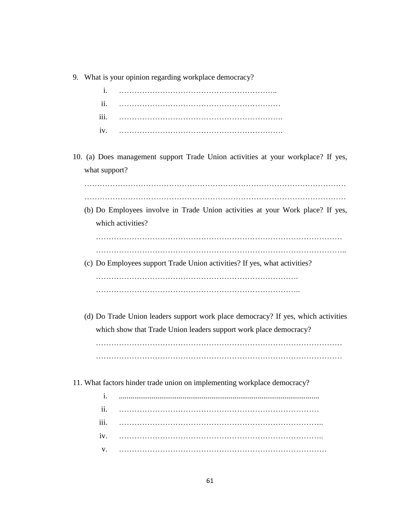|                | 9. What is your opinion regarding workplace democracy?                            |
|----------------|-----------------------------------------------------------------------------------|
| $\mathbf{i}$ . |                                                                                   |
| ii.            |                                                                                   |
| iii.           |                                                                                   |
| iv.            |                                                                                   |
| what support?  | 10. (a) Does management support Trade Union activities at your workplace? If yes, |
|                |                                                                                   |
|                | (b) Do Employees involve in Trade Union activities at your Work place? If yes,    |
|                | which activities?                                                                 |
|                |                                                                                   |
|                |                                                                                   |
|                | (c) Do Employees support Trade Union activities? If yes, what activities?         |
|                |                                                                                   |
|                |                                                                                   |
|                | (d) Do Trade Union leaders support work place democracy? If yes, which activities |
|                | which show that Trade Union leaders support work place democracy?                 |
|                |                                                                                   |
|                |                                                                                   |
|                | 11. What factors hinder trade union on implementing workplace democracy?          |
| i.             |                                                                                   |
| ii.            |                                                                                   |
| iii.           |                                                                                   |
| iv.            |                                                                                   |
| V.             |                                                                                   |

61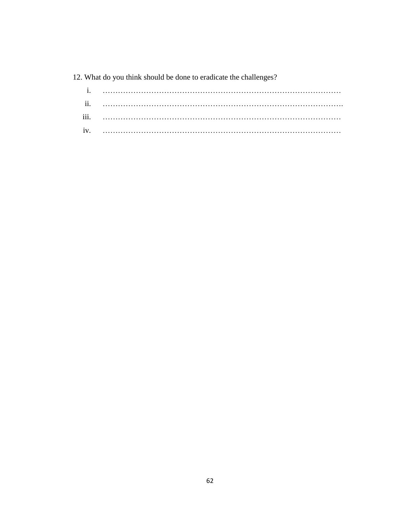# 12. What do you think should be done to eradicate the challenges?

| iii. |  |
|------|--|
| iv.  |  |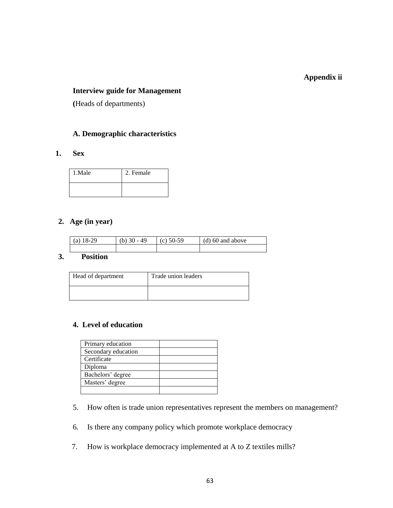# **Appendix ii**

# **Interview guide for Management**

**(**Heads of departments)

# **A. Demographic characteristics**

**1. Sex**

| 1.Male | 2. Female |
|--------|-----------|
|        |           |

# **2. Age (in year)**

| (a) $18-29$ | (b) $30 - 49$ | $(c)$ 50-59 | $(d)$ 60 and above |
|-------------|---------------|-------------|--------------------|
|             |               |             |                    |

#### **3. Position**

| Head of department | Trade union leaders |
|--------------------|---------------------|
|                    |                     |

### **4. Level of education**

| Primary education   |  |
|---------------------|--|
| Secondary education |  |
| Certificate         |  |
| Diploma             |  |
| Bachelors' degree   |  |
| Masters' degree     |  |
|                     |  |

- 5. How often is trade union representatives represent the members on management?
- 6. Is there any company policy which promote workplace democracy
- 7. How is workplace democracy implemented at A to Z textiles mills?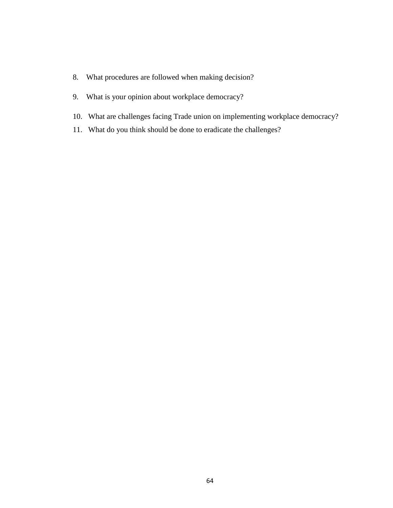- 8. What procedures are followed when making decision?
- 9. What is your opinion about workplace democracy?
- 10. What are challenges facing Trade union on implementing workplace democracy?
- 11. What do you think should be done to eradicate the challenges?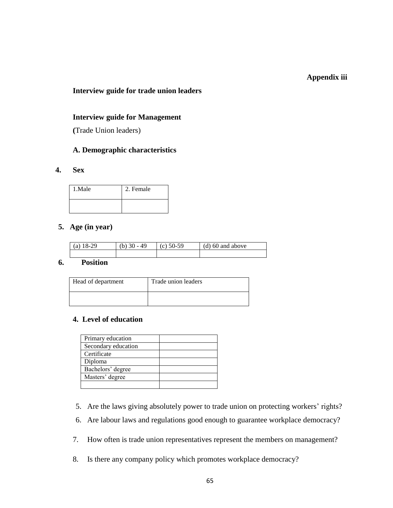#### **Appendix iii**

## **Interview guide for trade union leaders**

#### **Interview guide for Management**

**(**Trade Union leaders)

# **A. Demographic characteristics**

#### **4. Sex**

| 1.Male | 2. Female |
|--------|-----------|
|        |           |

# **5. Age (in year)**

| (a) $18-29$ | (b) $30 - 49$ | (c) $50-59$ | $(d)$ 60 and above |
|-------------|---------------|-------------|--------------------|
|             |               |             |                    |

# **6. Position**

| Head of department | Trade union leaders |
|--------------------|---------------------|
|                    |                     |

### **4. Level of education**

| Primary education   |  |
|---------------------|--|
| Secondary education |  |
| Certificate         |  |
| Diploma             |  |
| Bachelors' degree   |  |
| Masters' degree     |  |
|                     |  |

- 5. Are the laws giving absolutely power to trade union on protecting workers' rights?
- 6. Are labour laws and regulations good enough to guarantee workplace democracy?
- 7. How often is trade union representatives represent the members on management?
- 8. Is there any company policy which promotes workplace democracy?